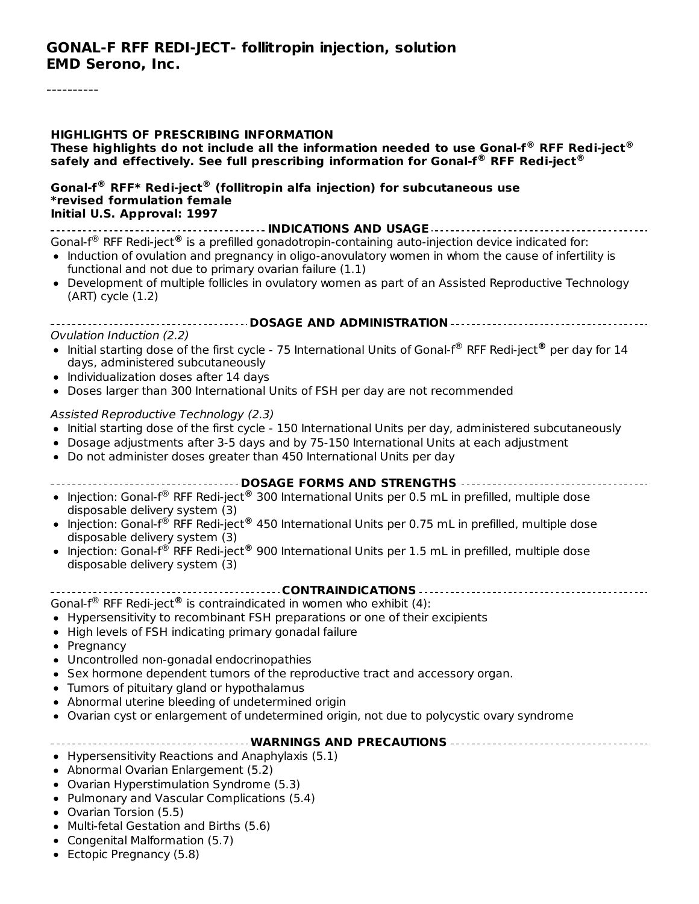#### **HIGHLIGHTS OF PRESCRIBING INFORMATION**

**These highlights do not include all the information needed to use Gonal-f RFF Redi-ject ® ® safely and effectively. See full prescribing information for Gonal-f RFF Redi-ject ® ®**

#### **Gonal-f RFF\* Redi-ject (follitropin alfa injection) for subcutaneous use ® ® \*revised formulation female Initial U.S. Approval: 1997**

**INDICATIONS AND USAGE** Gonal-f<sup>®</sup> RFF Redi-ject<sup>®</sup> is a prefilled gonadotropin-containing auto-injection device indicated for:

- Induction of ovulation and pregnancy in oligo-anovulatory women in whom the cause of infertility is functional and not due to primary ovarian failure (1.1)
- Development of multiple follicles in ovulatory women as part of an Assisted Reproductive Technology (ART) cycle (1.2)

#### **DOSAGE AND ADMINISTRATION**

#### Ovulation Induction (2.2)

- Initial starting dose of the first cycle 75 International Units of Gonal-f<sup>®</sup> RFF Redi-ject® per day for 14 days, administered subcutaneously
- Individualization doses after 14 days
- Doses larger than 300 International Units of FSH per day are not recommended

#### Assisted Reproductive Technology (2.3)

- Initial starting dose of the first cycle 150 International Units per day, administered subcutaneously
- Dosage adjustments after 3-5 days and by 75-150 International Units at each adjustment
- Do not administer doses greater than 450 International Units per day

#### **DOSAGE FORMS AND STRENGTHS**

- Injection: Gonal-f<sup>®</sup> RFF Redi-ject<sup>®</sup> 300 International Units per 0.5 mL in prefilled, multiple dose disposable delivery system (3)
- Injection: Gonal-f<sup>®</sup> RFF Redi-ject<sup>®</sup> 450 International Units per 0.75 mL in prefilled, multiple dose disposable delivery system (3)
- Injection: Gonal-f® RFF Redi-ject® 900 International Units per 1.5 mL in prefilled, multiple dose disposable delivery system (3)

#### **CONTRAINDICATIONS**

Gonal-f<sup>®</sup> RFF Redi-ject<sup>®</sup> is contraindicated in women who exhibit (4):

- Hypersensitivity to recombinant FSH preparations or one of their excipients
- High levels of FSH indicating primary gonadal failure
- Pregnancy
- Uncontrolled non-gonadal endocrinopathies
- Sex hormone dependent tumors of the reproductive tract and accessory organ.
- Tumors of pituitary gland or hypothalamus
- Abnormal uterine bleeding of undetermined origin
- Ovarian cyst or enlargement of undetermined origin, not due to polycystic ovary syndrome

#### **WARNINGS AND PRECAUTIONS**

- Hypersensitivity Reactions and Anaphylaxis (5.1)
- Abnormal Ovarian Enlargement (5.2)
- Ovarian Hyperstimulation Syndrome (5.3)
- Pulmonary and Vascular Complications (5.4)
- Ovarian Torsion (5.5)
- Multi-fetal Gestation and Births (5.6)
- Congenital Malformation (5.7)
- Ectopic Pregnancy (5.8)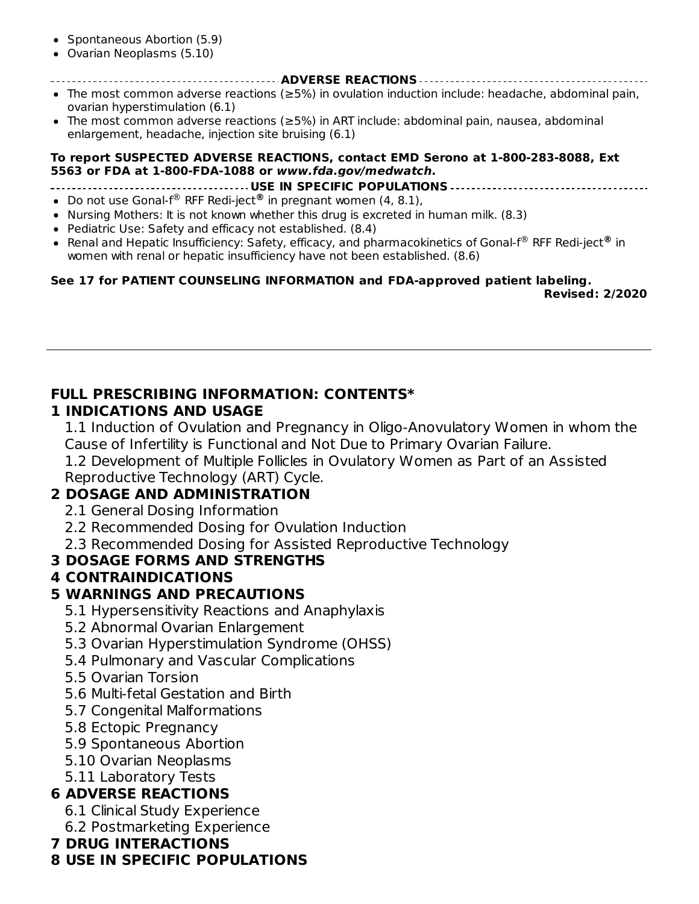- Spontaneous Abortion (5.9)
- Ovarian Neoplasms (5.10)
- **ADVERSE REACTIONS**
- The most common adverse reactions (≥5%) in ovulation induction include: headache, abdominal pain, ovarian hyperstimulation (6.1)
- The most common adverse reactions (≥5%) in ART include: abdominal pain, nausea, abdominal enlargement, headache, injection site bruising (6.1)

#### **To report SUSPECTED ADVERSE REACTIONS, contact EMD Serono at 1-800-283-8088, Ext 5563 or FDA at 1-800-FDA-1088 or www.fda.gov/medwatch.**

**USE IN SPECIFIC POPULATIONS**

- Do not use Gonal-f<sup>®</sup> RFF Redi-ject<sup>®</sup> in pregnant women (4, 8.1),
- Nursing Mothers: It is not known whether this drug is excreted in human milk. (8.3)
- Pediatric Use: Safety and efficacy not established. (8.4)
- Renal and Hepatic Insufficiency: Safety, efficacy, and pharmacokinetics of Gonal-f® RFF Redi-ject® in women with renal or hepatic insufficiency have not been established. (8.6)

#### **See 17 for PATIENT COUNSELING INFORMATION and FDA-approved patient labeling. Revised: 2/2020**

#### **FULL PRESCRIBING INFORMATION: CONTENTS\***

#### **1 INDICATIONS AND USAGE**

1.1 Induction of Ovulation and Pregnancy in Oligo-Anovulatory Women in whom the Cause of Infertility is Functional and Not Due to Primary Ovarian Failure.

1.2 Development of Multiple Follicles in Ovulatory Women as Part of an Assisted Reproductive Technology (ART) Cycle.

#### **2 DOSAGE AND ADMINISTRATION**

- 2.1 General Dosing Information
- 2.2 Recommended Dosing for Ovulation Induction
- 2.3 Recommended Dosing for Assisted Reproductive Technology

#### **3 DOSAGE FORMS AND STRENGTHS**

#### **4 CONTRAINDICATIONS**

#### **5 WARNINGS AND PRECAUTIONS**

- 5.1 Hypersensitivity Reactions and Anaphylaxis
- 5.2 Abnormal Ovarian Enlargement
- 5.3 Ovarian Hyperstimulation Syndrome (OHSS)
- 5.4 Pulmonary and Vascular Complications
- 5.5 Ovarian Torsion
- 5.6 Multi-fetal Gestation and Birth
- 5.7 Congenital Malformations
- 5.8 Ectopic Pregnancy
- 5.9 Spontaneous Abortion
- 5.10 Ovarian Neoplasms
- 5.11 Laboratory Tests

#### **6 ADVERSE REACTIONS**

- 6.1 Clinical Study Experience
- 6.2 Postmarketing Experience

#### **7 DRUG INTERACTIONS**

#### **8 USE IN SPECIFIC POPULATIONS**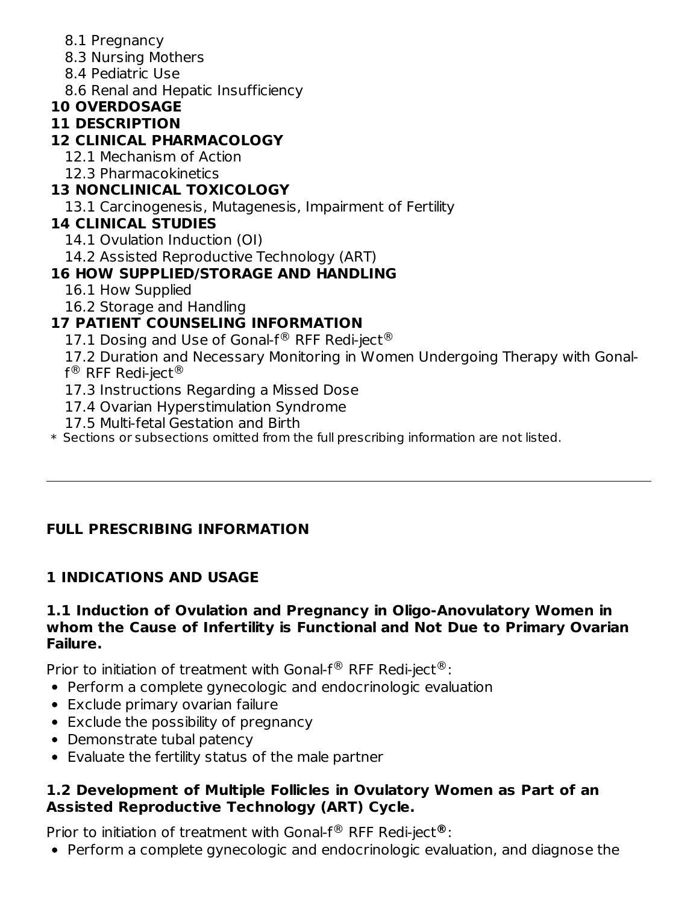- 8.1 Pregnancy
- 8.3 Nursing Mothers
- 8.4 Pediatric Use
- 8.6 Renal and Hepatic Insufficiency
- **10 OVERDOSAGE**

### **11 DESCRIPTION**

### **12 CLINICAL PHARMACOLOGY**

- 12.1 Mechanism of Action
- 12.3 Pharmacokinetics

## **13 NONCLINICAL TOXICOLOGY**

13.1 Carcinogenesis, Mutagenesis, Impairment of Fertility

### **14 CLINICAL STUDIES**

- 14.1 Ovulation Induction (OI)
- 14.2 Assisted Reproductive Technology (ART)

### **16 HOW SUPPLIED/STORAGE AND HANDLING**

- 16.1 How Supplied
- 16.2 Storage and Handling

### **17 PATIENT COUNSELING INFORMATION**

- 17.1 Dosing and Use of Gonal-f $^{\circledR}$  RFF Redi-ject $^{\circledR}$
- 17.2 Duration and Necessary Monitoring in Women Undergoing Therapy with Gonal-
- f $^{\circledR}$  RFF Redi-ject $^{\circledR}$  .
- 17.3 Instructions Regarding a Missed Dose
- 17.4 Ovarian Hyperstimulation Syndrome
- 17.5 Multi-fetal Gestation and Birth
- \* Sections or subsections omitted from the full prescribing information are not listed.

### **FULL PRESCRIBING INFORMATION**

## **1 INDICATIONS AND USAGE**

#### **1.1 Induction of Ovulation and Pregnancy in Oligo-Anovulatory Women in whom the Cause of Infertility is Functional and Not Due to Primary Ovarian Failure.**

Prior to initiation of treatment with Gonal-f<sup>®</sup> RFF Redi-ject<sup>®</sup>:

- Perform a complete gynecologic and endocrinologic evaluation
- Exclude primary ovarian failure
- Exclude the possibility of pregnancy
- Demonstrate tubal patency
- Evaluate the fertility status of the male partner

#### **1.2 Development of Multiple Follicles in Ovulatory Women as Part of an Assisted Reproductive Technology (ART) Cycle.**

Prior to initiation of treatment with Gonal-f<sup>®</sup> RFF Redi-ject<sup>®</sup>:

Perform a complete gynecologic and endocrinologic evaluation, and diagnose the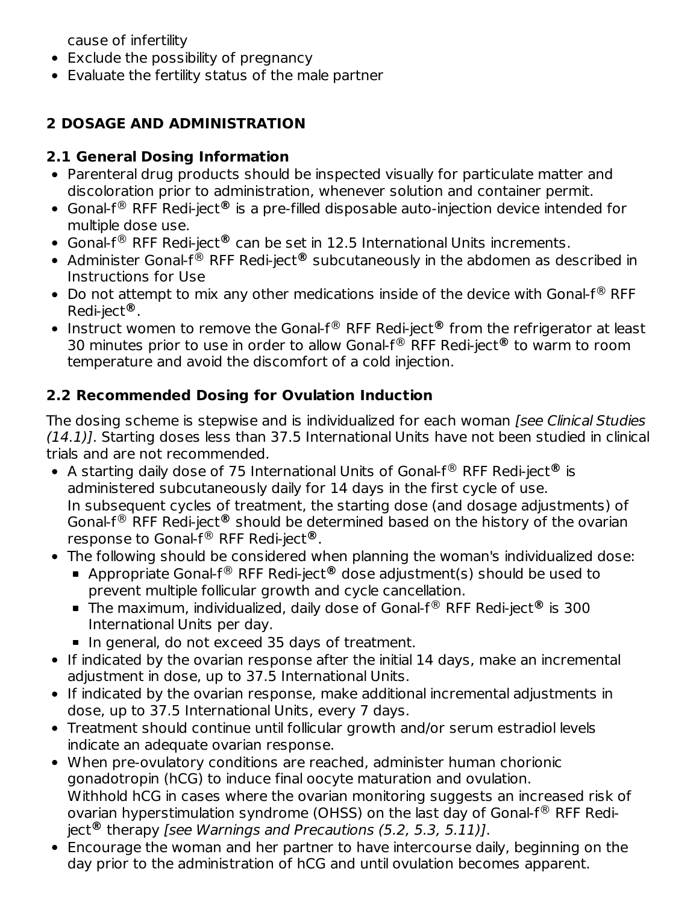cause of infertility

- Exclude the possibility of pregnancy
- Evaluate the fertility status of the male partner

## **2 DOSAGE AND ADMINISTRATION**

### **2.1 General Dosing Information**

- Parenteral drug products should be inspected visually for particulate matter and discoloration prior to administration, whenever solution and container permit.
- Gonal-f<sup>®</sup> RFF Redi-ject® is a pre-filled disposable auto-injection device intended for multiple dose use.
- Gonal-f<sup>®</sup> RFF Redi-ject<sup>®</sup> can be set in 12.5 International Units increments.
- Administer Gonal-f® RFF Redi-ject® subcutaneously in the abdomen as described in Instructions for Use
- Do not attempt to mix any other medications inside of the device with Gonal- $f^{\circledR}$  RFF Redi-ject . **®**
- Instruct women to remove the Gonal-f<sup>®</sup> RFF Redi-ject® from the refrigerator at least 30 minutes prior to use in order to allow Gonal-f<sup>®</sup> RFF Redi-ject<sup>®</sup> to warm to room temperature and avoid the discomfort of a cold injection.

## **2.2 Recommended Dosing for Ovulation Induction**

The dosing scheme is stepwise and is individualized for each woman *[see Clinical Studies*  $(14.1)$ ]. Starting doses less than 37.5 International Units have not been studied in clinical trials and are not recommended.

- A starting daily dose of 75 International Units of Gonal-f<sup>®</sup> RFF Redi-ject® is administered subcutaneously daily for 14 days in the first cycle of use. In subsequent cycles of treatment, the starting dose (and dosage adjustments) of Gonal-f<sup>®</sup> RFF Redi-ject<sup>®</sup> should be determined based on the history of the ovarian response to Gonal-f® RFF Redi-ject®.
- The following should be considered when planning the woman's individualized dose:
	- Appropriate Gonal-f<sup>®</sup> RFF Redi-ject® dose adjustment(s) should be used to prevent multiple follicular growth and cycle cancellation.
	- The maximum, individualized, daily dose of Gonal-f<sup>®</sup> RFF Redi-ject® is 300 International Units per day.
	- In general, do not exceed 35 days of treatment.
- If indicated by the ovarian response after the initial 14 days, make an incremental adjustment in dose, up to 37.5 International Units.
- If indicated by the ovarian response, make additional incremental adjustments in dose, up to 37.5 International Units, every 7 days.
- Treatment should continue until follicular growth and/or serum estradiol levels indicate an adequate ovarian response.
- When pre-ovulatory conditions are reached, administer human chorionic gonadotropin (hCG) to induce final oocyte maturation and ovulation. Withhold hCG in cases where the ovarian monitoring suggests an increased risk of ovarian hyperstimulation syndrome (OHSS) on the last day of Gonal-f $^{\circledR}$  RFF Rediject<sup>®</sup> therapy [see Warnings and Precautions (5.2, 5.3, 5.11)].
- Encourage the woman and her partner to have intercourse daily, beginning on the day prior to the administration of hCG and until ovulation becomes apparent.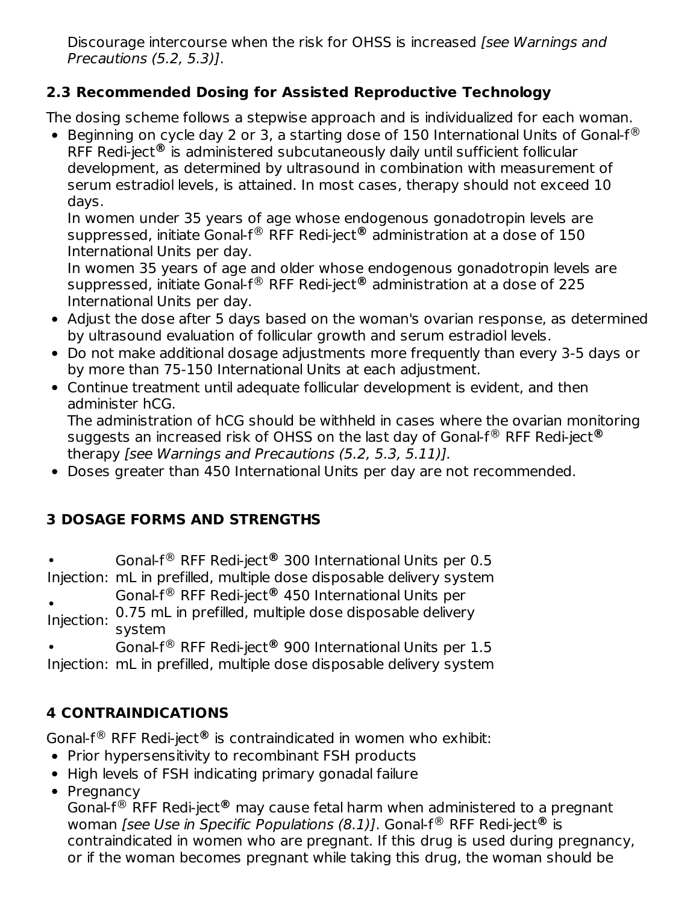Discourage intercourse when the risk for OHSS is increased *[see Warnings and* Precautions (5.2, 5.3)].

#### **2.3 Recommended Dosing for Assisted Reproductive Technology**

The dosing scheme follows a stepwise approach and is individualized for each woman.

Beginning on cycle day 2 or 3, a starting dose of 150 International Units of Gonal-f $^{\circledR}$ RFF Redi-ject is administered subcutaneously daily until sufficient follicular **®** development, as determined by ultrasound in combination with measurement of serum estradiol levels, is attained. In most cases, therapy should not exceed 10 days.

In women under 35 years of age whose endogenous gonadotropin levels are suppressed, initiate Gonal-f<sup>®</sup> RFF Redi-ject® administration at a dose of 150 International Units per day.

In women 35 years of age and older whose endogenous gonadotropin levels are suppressed, initiate Gonal-f<sup>®</sup> RFF Redi-ject® administration at a dose of 225 International Units per day.

- Adjust the dose after 5 days based on the woman's ovarian response, as determined by ultrasound evaluation of follicular growth and serum estradiol levels.
- Do not make additional dosage adjustments more frequently than every 3-5 days or by more than 75-150 International Units at each adjustment.
- Continue treatment until adequate follicular development is evident, and then administer hCG.

The administration of hCG should be withheld in cases where the ovarian monitoring suggests an increased risk of OHSS on the last day of Gonal-f® RFF Redi-ject® therapy [see Warnings and Precautions (5.2, 5.3, 5.11)].

Doses greater than 450 International Units per day are not recommended.

### **3 DOSAGE FORMS AND STRENGTHS**

• Injection: mL in prefilled, multiple dose disposable delivery system Gonal-f<sup>®</sup> RFF Redi-ject<sup>®</sup> 300 International Units per 0.5

Injection: 0.75 mL in prefilled, multiple dose disposable delivery Gonal-f<sup>®</sup> RFF Redi-ject<sup>®</sup> 450 International Units per

system

•

• Gonal-f<sup>®</sup> RFF Redi-ject<sup>®</sup> 900 International Units per 1.5

Injection: mL in prefilled, multiple dose disposable delivery system

### **4 CONTRAINDICATIONS**

Gonal-f<sup>®</sup> RFF Redi-ject® is contraindicated in women who exhibit:

- Prior hypersensitivity to recombinant FSH products
- High levels of FSH indicating primary gonadal failure
- Pregnancy

Gonal-f<sup>®</sup> RFF Redi-ject® may cause fetal harm when administered to a pregnant woman *[see Use in Specific Populations (8.1)]*. Gonal-f<sup>®</sup> RFF Redi-ject<sup>®</sup> is contraindicated in women who are pregnant. If this drug is used during pregnancy, or if the woman becomes pregnant while taking this drug, the woman should be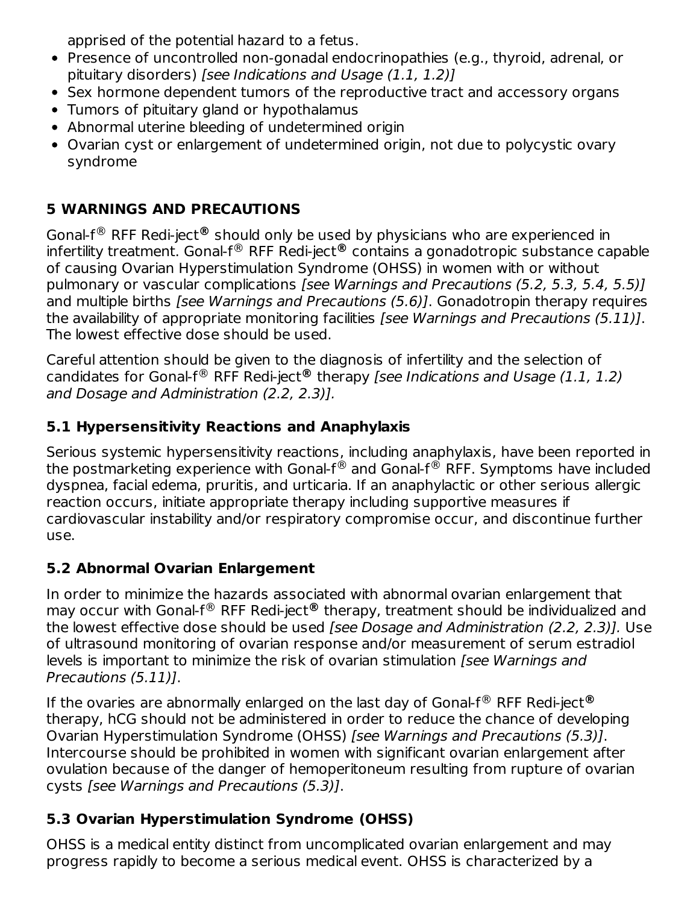apprised of the potential hazard to a fetus.

- Presence of uncontrolled non-gonadal endocrinopathies (e.g., thyroid, adrenal, or pituitary disorders) [see Indications and Usage (1.1, 1.2)]
- Sex hormone dependent tumors of the reproductive tract and accessory organs
- Tumors of pituitary gland or hypothalamus
- Abnormal uterine bleeding of undetermined origin
- Ovarian cyst or enlargement of undetermined origin, not due to polycystic ovary syndrome

### **5 WARNINGS AND PRECAUTIONS**

Gonal-f<sup>®</sup> RFF Redi-ject® should only be used by physicians who are experienced in infertility treatment. Gonal-f® RFF Redi-ject® contains a gonadotropic substance capable of causing Ovarian Hyperstimulation Syndrome (OHSS) in women with or without pulmonary or vascular complications [see Warnings and Precautions (5.2, 5.3, 5.4, 5.5)] and multiple births *[see Warnings and Precautions (5.6)]*. Gonadotropin therapy requires the availability of appropriate monitoring facilities [see Warnings and Precautions (5.11)]. The lowest effective dose should be used.

Careful attention should be given to the diagnosis of infertility and the selection of candidates for Gonal-f® RFF Redi-ject® therapy [see Indications and Usage (1.1, 1.2) and Dosage and Administration (2.2, 2.3)].

### **5.1 Hypersensitivity Reactions and Anaphylaxis**

Serious systemic hypersensitivity reactions, including anaphylaxis, have been reported in the postmarketing experience with Gonal-f $^\circledR$  and Gonal-f $^\circledR$  RFF. Symptoms have included dyspnea, facial edema, pruritis, and urticaria. If an anaphylactic or other serious allergic reaction occurs, initiate appropriate therapy including supportive measures if cardiovascular instability and/or respiratory compromise occur, and discontinue further use.

### **5.2 Abnormal Ovarian Enlargement**

In order to minimize the hazards associated with abnormal ovarian enlargement that may occur with Gonal-f® RFF Redi-ject® therapy, treatment should be individualized and the lowest effective dose should be used [see Dosage and Administration (2.2, 2.3)]. Use of ultrasound monitoring of ovarian response and/or measurement of serum estradiol levels is important to minimize the risk of ovarian stimulation [see Warnings and Precautions (5.11)].

If the ovaries are abnormally enlarged on the last day of Gonal-f® RFF Redi-ject® therapy, hCG should not be administered in order to reduce the chance of developing Ovarian Hyperstimulation Syndrome (OHSS) [see Warnings and Precautions (5.3)]. Intercourse should be prohibited in women with significant ovarian enlargement after ovulation because of the danger of hemoperitoneum resulting from rupture of ovarian cysts [see Warnings and Precautions (5.3)].

### **5.3 Ovarian Hyperstimulation Syndrome (OHSS)**

OHSS is a medical entity distinct from uncomplicated ovarian enlargement and may progress rapidly to become a serious medical event. OHSS is characterized by a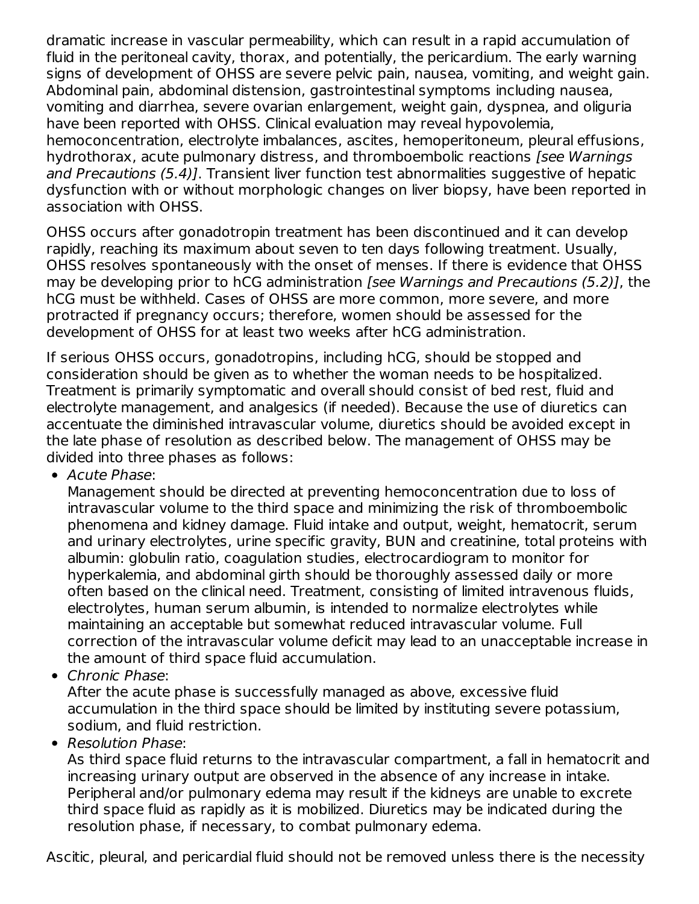dramatic increase in vascular permeability, which can result in a rapid accumulation of fluid in the peritoneal cavity, thorax, and potentially, the pericardium. The early warning signs of development of OHSS are severe pelvic pain, nausea, vomiting, and weight gain. Abdominal pain, abdominal distension, gastrointestinal symptoms including nausea, vomiting and diarrhea, severe ovarian enlargement, weight gain, dyspnea, and oliguria have been reported with OHSS. Clinical evaluation may reveal hypovolemia, hemoconcentration, electrolyte imbalances, ascites, hemoperitoneum, pleural effusions, hydrothorax, acute pulmonary distress, and thromboembolic reactions *[see Warnings* and Precautions (5.4)]. Transient liver function test abnormalities suggestive of hepatic dysfunction with or without morphologic changes on liver biopsy, have been reported in association with OHSS.

OHSS occurs after gonadotropin treatment has been discontinued and it can develop rapidly, reaching its maximum about seven to ten days following treatment. Usually, OHSS resolves spontaneously with the onset of menses. If there is evidence that OHSS may be developing prior to hCG administration [see Warnings and Precautions (5.2)], the hCG must be withheld. Cases of OHSS are more common, more severe, and more protracted if pregnancy occurs; therefore, women should be assessed for the development of OHSS for at least two weeks after hCG administration.

If serious OHSS occurs, gonadotropins, including hCG, should be stopped and consideration should be given as to whether the woman needs to be hospitalized. Treatment is primarily symptomatic and overall should consist of bed rest, fluid and electrolyte management, and analgesics (if needed). Because the use of diuretics can accentuate the diminished intravascular volume, diuretics should be avoided except in the late phase of resolution as described below. The management of OHSS may be divided into three phases as follows:

• Acute Phase:

Management should be directed at preventing hemoconcentration due to loss of intravascular volume to the third space and minimizing the risk of thromboembolic phenomena and kidney damage. Fluid intake and output, weight, hematocrit, serum and urinary electrolytes, urine specific gravity, BUN and creatinine, total proteins with albumin: globulin ratio, coagulation studies, electrocardiogram to monitor for hyperkalemia, and abdominal girth should be thoroughly assessed daily or more often based on the clinical need. Treatment, consisting of limited intravenous fluids, electrolytes, human serum albumin, is intended to normalize electrolytes while maintaining an acceptable but somewhat reduced intravascular volume. Full correction of the intravascular volume deficit may lead to an unacceptable increase in the amount of third space fluid accumulation.

• Chronic Phase:

After the acute phase is successfully managed as above, excessive fluid accumulation in the third space should be limited by instituting severe potassium, sodium, and fluid restriction.

• Resolution Phase:

As third space fluid returns to the intravascular compartment, a fall in hematocrit and increasing urinary output are observed in the absence of any increase in intake. Peripheral and/or pulmonary edema may result if the kidneys are unable to excrete third space fluid as rapidly as it is mobilized. Diuretics may be indicated during the resolution phase, if necessary, to combat pulmonary edema.

Ascitic, pleural, and pericardial fluid should not be removed unless there is the necessity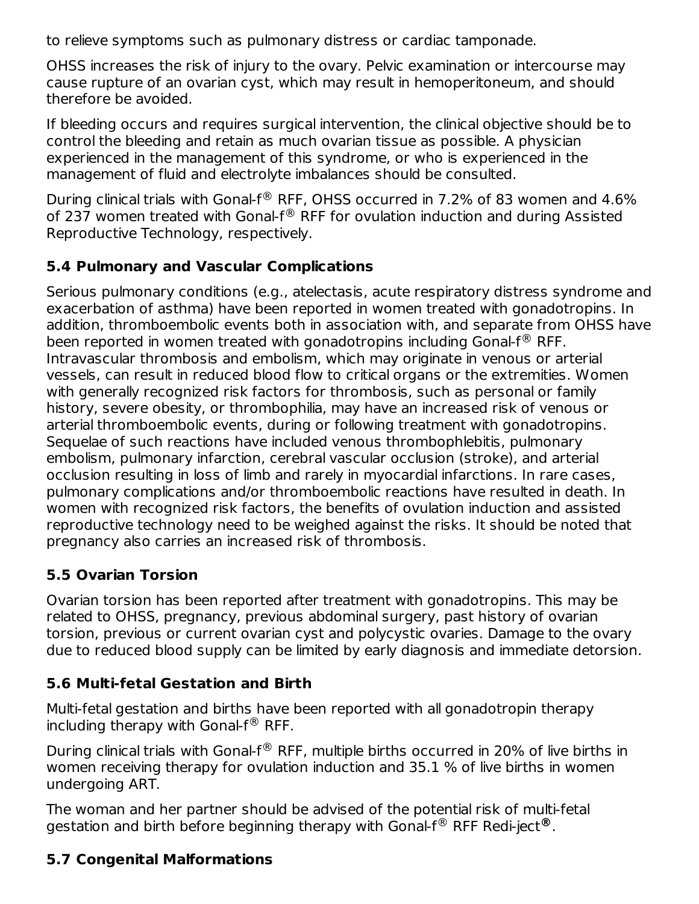to relieve symptoms such as pulmonary distress or cardiac tamponade.

OHSS increases the risk of injury to the ovary. Pelvic examination or intercourse may cause rupture of an ovarian cyst, which may result in hemoperitoneum, and should therefore be avoided.

If bleeding occurs and requires surgical intervention, the clinical objective should be to control the bleeding and retain as much ovarian tissue as possible. A physician experienced in the management of this syndrome, or who is experienced in the management of fluid and electrolyte imbalances should be consulted.

During clinical trials with Gonal-f $^{\circledR}$  RFF, OHSS occurred in 7.2% of 83 women and 4.6% of 237 women treated with Gonal-f $^{\circledR}$  RFF for ovulation induction and during Assisted Reproductive Technology, respectively.

#### **5.4 Pulmonary and Vascular Complications**

Serious pulmonary conditions (e.g., atelectasis, acute respiratory distress syndrome and exacerbation of asthma) have been reported in women treated with gonadotropins. In addition, thromboembolic events both in association with, and separate from OHSS have been reported in women treated with gonadotropins including Gonal-f $^{\circledR}$  RFF. Intravascular thrombosis and embolism, which may originate in venous or arterial vessels, can result in reduced blood flow to critical organs or the extremities. Women with generally recognized risk factors for thrombosis, such as personal or family history, severe obesity, or thrombophilia, may have an increased risk of venous or arterial thromboembolic events, during or following treatment with gonadotropins. Sequelae of such reactions have included venous thrombophlebitis, pulmonary embolism, pulmonary infarction, cerebral vascular occlusion (stroke), and arterial occlusion resulting in loss of limb and rarely in myocardial infarctions. In rare cases, pulmonary complications and/or thromboembolic reactions have resulted in death. In women with recognized risk factors, the benefits of ovulation induction and assisted reproductive technology need to be weighed against the risks. It should be noted that pregnancy also carries an increased risk of thrombosis.

#### **5.5 Ovarian Torsion**

Ovarian torsion has been reported after treatment with gonadotropins. This may be related to OHSS, pregnancy, previous abdominal surgery, past history of ovarian torsion, previous or current ovarian cyst and polycystic ovaries. Damage to the ovary due to reduced blood supply can be limited by early diagnosis and immediate detorsion.

#### **5.6 Multi-fetal Gestation and Birth**

Multi-fetal gestation and births have been reported with all gonadotropin therapy including therapy with Gonal-f $^{\circledR}$  RFF.

During clinical trials with Gonal-f $^{\circledR}$  RFF, multiple births occurred in 20% of live births in women receiving therapy for ovulation induction and 35.1 % of live births in women undergoing ART.

The woman and her partner should be advised of the potential risk of multi-fetal gestation and birth before beginning therapy with Gonal-f® RFF Redi-ject®.

### **5.7 Congenital Malformations**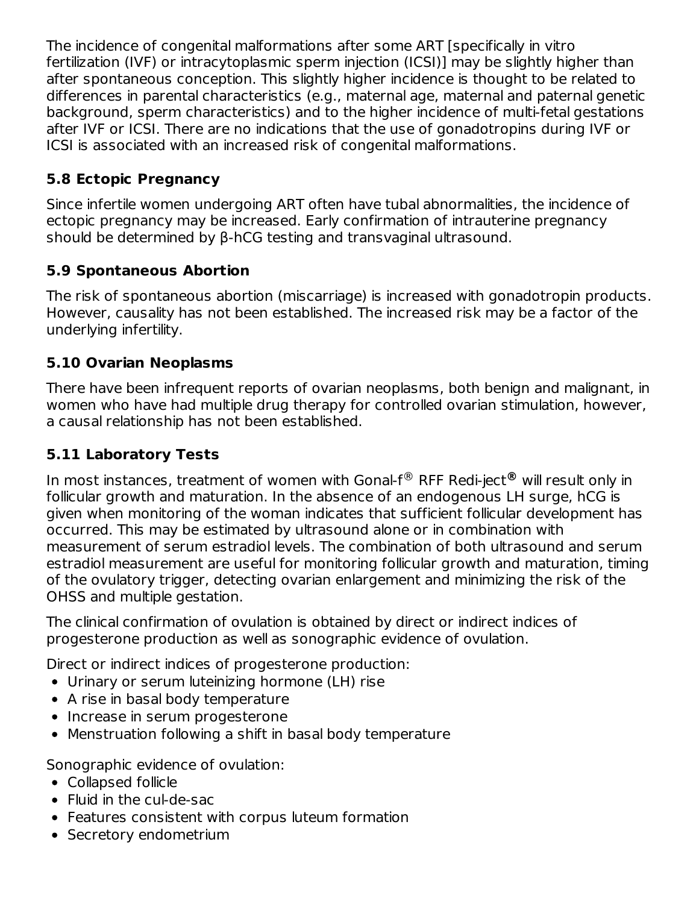The incidence of congenital malformations after some ART [specifically in vitro fertilization (IVF) or intracytoplasmic sperm injection (ICSI)] may be slightly higher than after spontaneous conception. This slightly higher incidence is thought to be related to differences in parental characteristics (e.g., maternal age, maternal and paternal genetic background, sperm characteristics) and to the higher incidence of multi-fetal gestations after IVF or ICSI. There are no indications that the use of gonadotropins during IVF or ICSI is associated with an increased risk of congenital malformations.

#### **5.8 Ectopic Pregnancy**

Since infertile women undergoing ART often have tubal abnormalities, the incidence of ectopic pregnancy may be increased. Early confirmation of intrauterine pregnancy should be determined by β-hCG testing and transvaginal ultrasound.

### **5.9 Spontaneous Abortion**

The risk of spontaneous abortion (miscarriage) is increased with gonadotropin products. However, causality has not been established. The increased risk may be a factor of the underlying infertility.

### **5.10 Ovarian Neoplasms**

There have been infrequent reports of ovarian neoplasms, both benign and malignant, in women who have had multiple drug therapy for controlled ovarian stimulation, however, a causal relationship has not been established.

### **5.11 Laboratory Tests**

In most instances, treatment of women with Gonal-f® RFF Redi-ject® will result only in follicular growth and maturation. In the absence of an endogenous LH surge, hCG is given when monitoring of the woman indicates that sufficient follicular development has occurred. This may be estimated by ultrasound alone or in combination with measurement of serum estradiol levels. The combination of both ultrasound and serum estradiol measurement are useful for monitoring follicular growth and maturation, timing of the ovulatory trigger, detecting ovarian enlargement and minimizing the risk of the OHSS and multiple gestation.

The clinical confirmation of ovulation is obtained by direct or indirect indices of progesterone production as well as sonographic evidence of ovulation.

Direct or indirect indices of progesterone production:

- Urinary or serum luteinizing hormone (LH) rise
- A rise in basal body temperature
- Increase in serum progesterone
- Menstruation following a shift in basal body temperature

Sonographic evidence of ovulation:

- Collapsed follicle
- Fluid in the cul-de-sac
- Features consistent with corpus luteum formation
- Secretory endometrium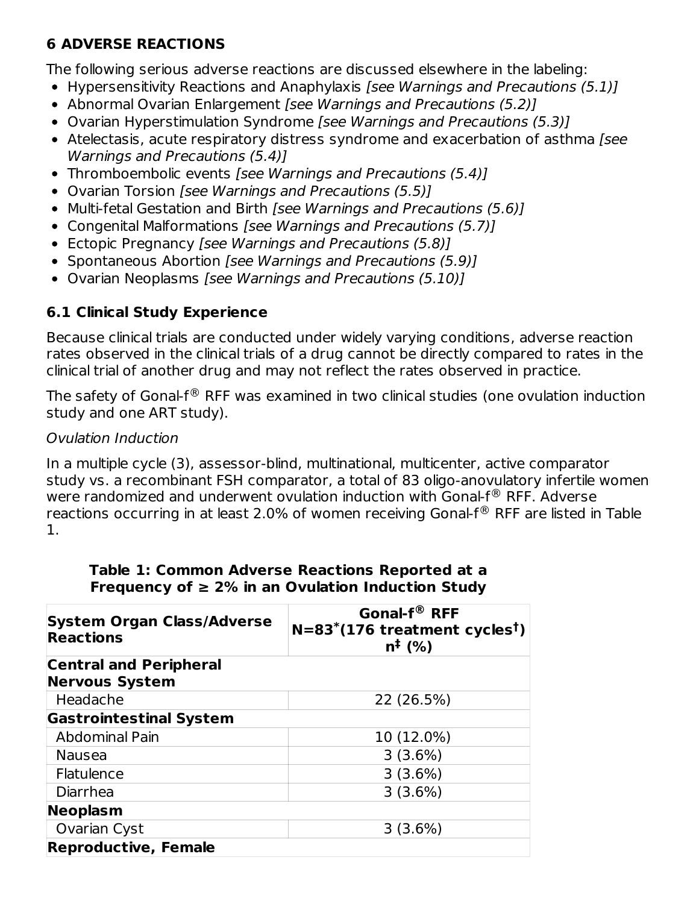### **6 ADVERSE REACTIONS**

The following serious adverse reactions are discussed elsewhere in the labeling:

- Hypersensitivity Reactions and Anaphylaxis [see Warnings and Precautions (5.1)]
- Abnormal Ovarian Enlargement [see Warnings and Precautions (5.2)]
- Ovarian Hyperstimulation Syndrome [see Warnings and Precautions (5.3)]
- Atelectasis, acute respiratory distress syndrome and exacerbation of asthma [see Warnings and Precautions (5.4)]
- Thromboembolic events [see Warnings and Precautions (5.4)]
- Ovarian Torsion [see Warnings and Precautions (5.5)]
- Multi-fetal Gestation and Birth [see Warnings and Precautions (5.6)]
- Congenital Malformations [see Warnings and Precautions (5.7)]
- Ectopic Pregnancy [see Warnings and Precautions (5.8)]
- Spontaneous Abortion [see Warnings and Precautions (5.9)]
- Ovarian Neoplasms [see Warnings and Precautions (5.10)]

### **6.1 Clinical Study Experience**

Because clinical trials are conducted under widely varying conditions, adverse reaction rates observed in the clinical trials of a drug cannot be directly compared to rates in the clinical trial of another drug and may not reflect the rates observed in practice.

The safety of Gonal-f $^\circledR$  RFF was examined in two clinical studies (one ovulation induction study and one ART study).

#### Ovulation Induction

In a multiple cycle (3), assessor-blind, multinational, multicenter, active comparator study vs. a recombinant FSH comparator, a total of 83 oligo-anovulatory infertile women were randomized and underwent ovulation induction with Gonal-f $^{\circledR}$  RFF. Adverse reactions occurring in at least 2.0% of women receiving Gonal-f $^\circledR$  RFF are listed in Table 1.

| System Organ Class/Adverse<br><b>Reactions</b> | Gonal-f <sup>®</sup> RFF<br>$N=83^*(176$ treatment cycles <sup>t</sup> )<br>$n^{1}(%$ |  |  |
|------------------------------------------------|---------------------------------------------------------------------------------------|--|--|
| <b>Central and Peripheral</b>                  |                                                                                       |  |  |
| <b>Nervous System</b>                          |                                                                                       |  |  |
| Headache                                       | 22 (26.5%)                                                                            |  |  |
| <b>Gastrointestinal System</b>                 |                                                                                       |  |  |
| <b>Abdominal Pain</b>                          | 10 (12.0%)                                                                            |  |  |
| <b>Nausea</b>                                  | 3(3.6%)                                                                               |  |  |
| Flatulence                                     | 3(3.6%)                                                                               |  |  |
| Diarrhea                                       | 3(3.6%)                                                                               |  |  |
| Neoplasm                                       |                                                                                       |  |  |
| Ovarian Cyst                                   | 3(3.6%)                                                                               |  |  |
| <b>Reproductive, Female</b>                    |                                                                                       |  |  |

#### **Table 1: Common Adverse Reactions Reported at a Frequency of ≥ 2% in an Ovulation Induction Study**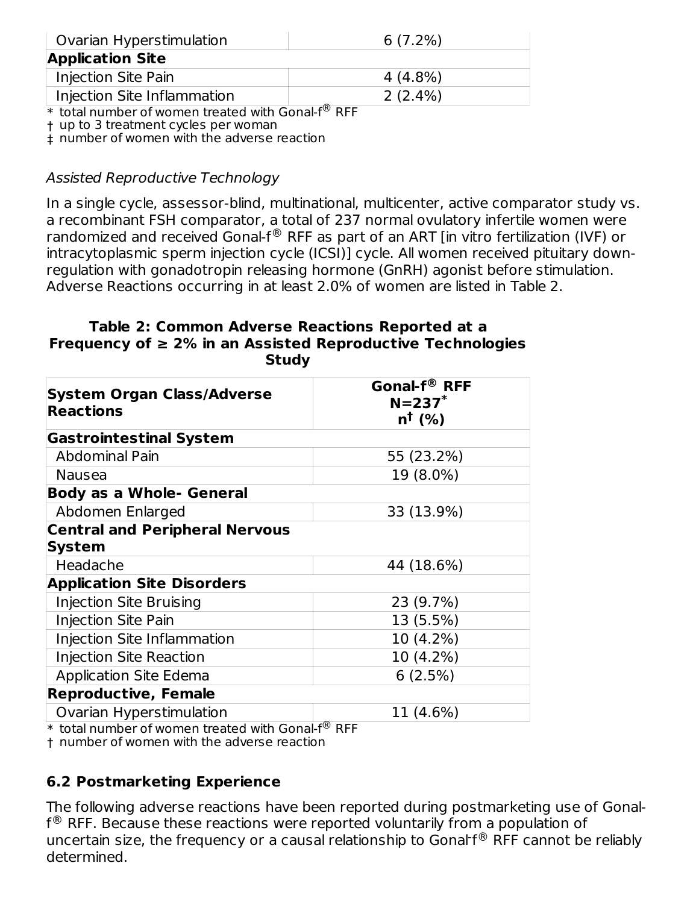| Ovarian Hyperstimulation    | $6(7.2\%)$           |
|-----------------------------|----------------------|
| <b>Application Site</b>     |                      |
| <b>Injection Site Pain</b>  | 4 (4.8%)             |
| Injection Site Inflammation | $2(2.4\%)$<br>$\sim$ |

 $*$  total number of women treated with Gonal-f $^{\circledR}$  RFF

† up to 3 treatment cycles per woman

‡ number of women with the adverse reaction

#### Assisted Reproductive Technology

In a single cycle, assessor-blind, multinational, multicenter, active comparator study vs. a recombinant FSH comparator, a total of 237 normal ovulatory infertile women were randomized and received Gonal-f $^\circledR$  RFF as part of an ART [in vitro fertilization (IVF) or intracytoplasmic sperm injection cycle (ICSI)] cycle. All women received pituitary downregulation with gonadotropin releasing hormone (GnRH) agonist before stimulation. Adverse Reactions occurring in at least 2.0% of women are listed in Table 2.

#### **Table 2: Common Adverse Reactions Reported at a Frequency of ≥ 2% in an Assisted Reproductive Technologies Study**

| <b>System Organ Class/Adverse</b><br><b>Reactions</b> | Gonal-f® RFF<br>$N = 237$ *<br>$n^{\dagger}$ (%) |  |  |
|-------------------------------------------------------|--------------------------------------------------|--|--|
| <b>Gastrointestinal System</b>                        |                                                  |  |  |
| Abdominal Pain                                        | 55 (23.2%)                                       |  |  |
| <b>Nausea</b>                                         | 19 (8.0%)                                        |  |  |
| <b>Body as a Whole- General</b>                       |                                                  |  |  |
| Abdomen Enlarged                                      | 33 (13.9%)                                       |  |  |
| <b>Central and Peripheral Nervous</b>                 |                                                  |  |  |
| <b>System</b>                                         |                                                  |  |  |
| Headache                                              | 44 (18.6%)                                       |  |  |
| <b>Application Site Disorders</b>                     |                                                  |  |  |
| Injection Site Bruising                               | 23 (9.7%)                                        |  |  |
| <b>Injection Site Pain</b>                            | 13 (5.5%)                                        |  |  |
| Injection Site Inflammation                           | 10 (4.2%)                                        |  |  |
| <b>Injection Site Reaction</b>                        | 10 (4.2%)                                        |  |  |
| <b>Application Site Edema</b>                         | 6(2.5%)                                          |  |  |
| <b>Reproductive, Female</b>                           |                                                  |  |  |
| Ovarian Hyperstimulation                              | 11 (4.6%)                                        |  |  |

\* total number of women treated with Gonal-f® RFF

† number of women with the adverse reaction

#### **6.2 Postmarketing Experience**

The following adverse reactions have been reported during postmarketing use of Gonal- ${\sf f}^{\circledR}$  RFF. Because these reactions were reported voluntarily from a population of uncertain size, the frequency or a causal relationship to Gonal  $f^\circledR$  RFF cannot be reliably determined.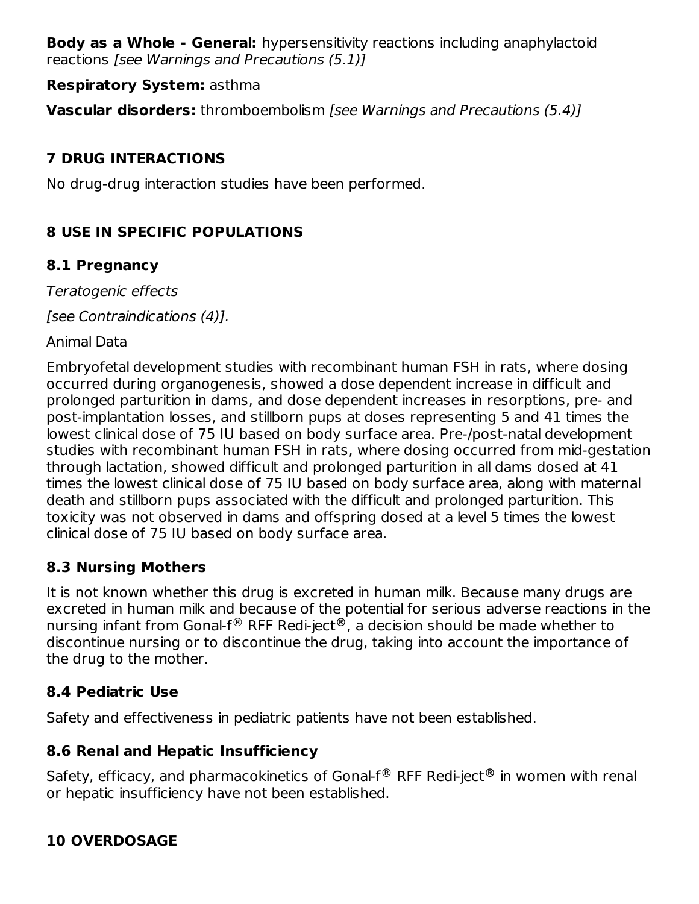**Body as a Whole - General:** hypersensitivity reactions including anaphylactoid reactions [see Warnings and Precautions (5.1)]

#### **Respiratory System:** asthma

**Vascular disorders:** thromboembolism [see Warnings and Precautions (5.4)]

### **7 DRUG INTERACTIONS**

No drug-drug interaction studies have been performed.

### **8 USE IN SPECIFIC POPULATIONS**

#### **8.1 Pregnancy**

Teratogenic effects

[see Contraindications (4)].

Animal Data

Embryofetal development studies with recombinant human FSH in rats, where dosing occurred during organogenesis, showed a dose dependent increase in difficult and prolonged parturition in dams, and dose dependent increases in resorptions, pre- and post-implantation losses, and stillborn pups at doses representing 5 and 41 times the lowest clinical dose of 75 IU based on body surface area. Pre-/post-natal development studies with recombinant human FSH in rats, where dosing occurred from mid-gestation through lactation, showed difficult and prolonged parturition in all dams dosed at 41 times the lowest clinical dose of 75 IU based on body surface area, along with maternal death and stillborn pups associated with the difficult and prolonged parturition. This toxicity was not observed in dams and offspring dosed at a level 5 times the lowest clinical dose of 75 IU based on body surface area.

### **8.3 Nursing Mothers**

It is not known whether this drug is excreted in human milk. Because many drugs are excreted in human milk and because of the potential for serious adverse reactions in the nursing infant from Gonal-f® RFF Redi-ject®, a decision should be made whether to discontinue nursing or to discontinue the drug, taking into account the importance of the drug to the mother.

### **8.4 Pediatric Use**

Safety and effectiveness in pediatric patients have not been established.

### **8.6 Renal and Hepatic Insufficiency**

Safety, efficacy, and pharmacokinetics of Gonal-f® RFF Redi-ject® in women with renal or hepatic insufficiency have not been established.

### **10 OVERDOSAGE**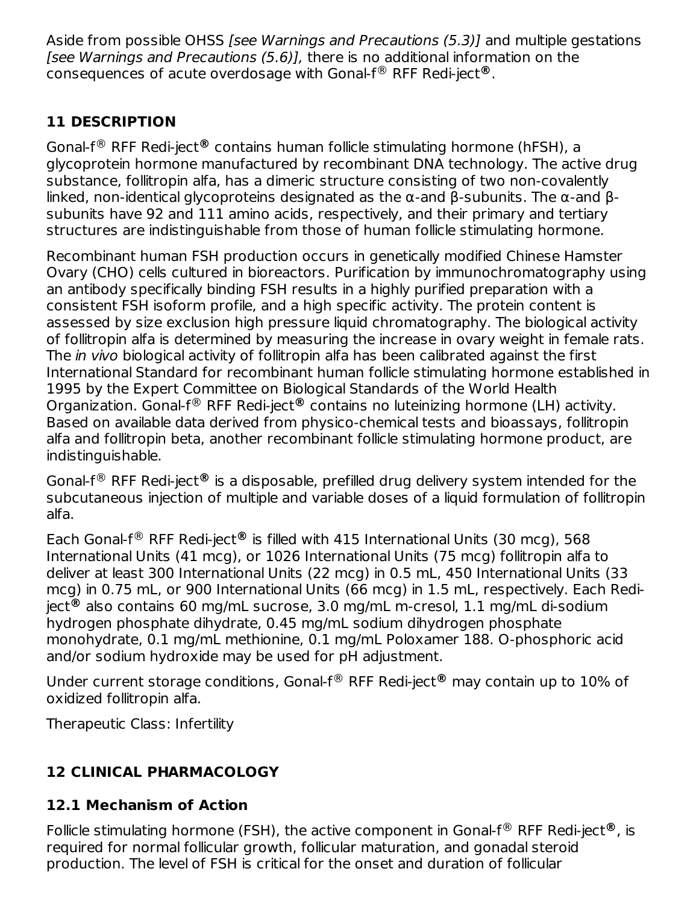Aside from possible OHSS [see Warnings and Precautions (5.3)] and multiple gestations [see Warnings and Precautions (5.6)], there is no additional information on the consequences of acute overdosage with Gonal-f® RFF Redi-ject®.

### **11 DESCRIPTION**

Gonal-f<sup>®</sup> RFF Redi-ject® contains human follicle stimulating hormone (hFSH), a glycoprotein hormone manufactured by recombinant DNA technology. The active drug substance, follitropin alfa, has a dimeric structure consisting of two non-covalently linked, non-identical glycoproteins designated as the α-and β-subunits. The α-and βsubunits have 92 and 111 amino acids, respectively, and their primary and tertiary structures are indistinguishable from those of human follicle stimulating hormone.

Recombinant human FSH production occurs in genetically modified Chinese Hamster Ovary (CHO) cells cultured in bioreactors. Purification by immunochromatography using an antibody specifically binding FSH results in a highly purified preparation with a consistent FSH isoform profile, and a high specific activity. The protein content is assessed by size exclusion high pressure liquid chromatography. The biological activity of follitropin alfa is determined by measuring the increase in ovary weight in female rats. The *in vivo* biological activity of follitropin alfa has been calibrated against the first International Standard for recombinant human follicle stimulating hormone established in 1995 by the Expert Committee on Biological Standards of the World Health Organization. Gonal-f<sup>®</sup> RFF Redi-ject® contains no luteinizing hormone (LH) activity. Based on available data derived from physico-chemical tests and bioassays, follitropin alfa and follitropin beta, another recombinant follicle stimulating hormone product, are indistinguishable.

Gonal-f<sup>®</sup> RFF Redi-ject® is a disposable, prefilled drug delivery system intended for the subcutaneous injection of multiple and variable doses of a liquid formulation of follitropin alfa.

Each Gonal-f<sup>®</sup> RFF Redi-ject<sup>®</sup> is filled with 415 International Units (30 mcg), 568 International Units (41 mcg), or 1026 International Units (75 mcg) follitropin alfa to deliver at least 300 International Units (22 mcg) in 0.5 mL, 450 International Units (33 mcg) in 0.75 mL, or 900 International Units (66 mcg) in 1.5 mL, respectively. Each Rediject® also contains 60 mg/mL sucrose, 3.0 mg/mL m-cresol, 1.1 mg/mL di-sodium hydrogen phosphate dihydrate, 0.45 mg/mL sodium dihydrogen phosphate monohydrate, 0.1 mg/mL methionine, 0.1 mg/mL Poloxamer 188. O-phosphoric acid and/or sodium hydroxide may be used for pH adjustment.

Under current storage conditions, Gonal-f<sup>®</sup> RFF Redi-ject® may contain up to 10% of oxidized follitropin alfa.

Therapeutic Class: Infertility

### **12 CLINICAL PHARMACOLOGY**

### **12.1 Mechanism of Action**

Follicle stimulating hormone (FSH), the active component in Gonal-f<sup>®</sup> RFF Redi-ject®, is required for normal follicular growth, follicular maturation, and gonadal steroid production. The level of FSH is critical for the onset and duration of follicular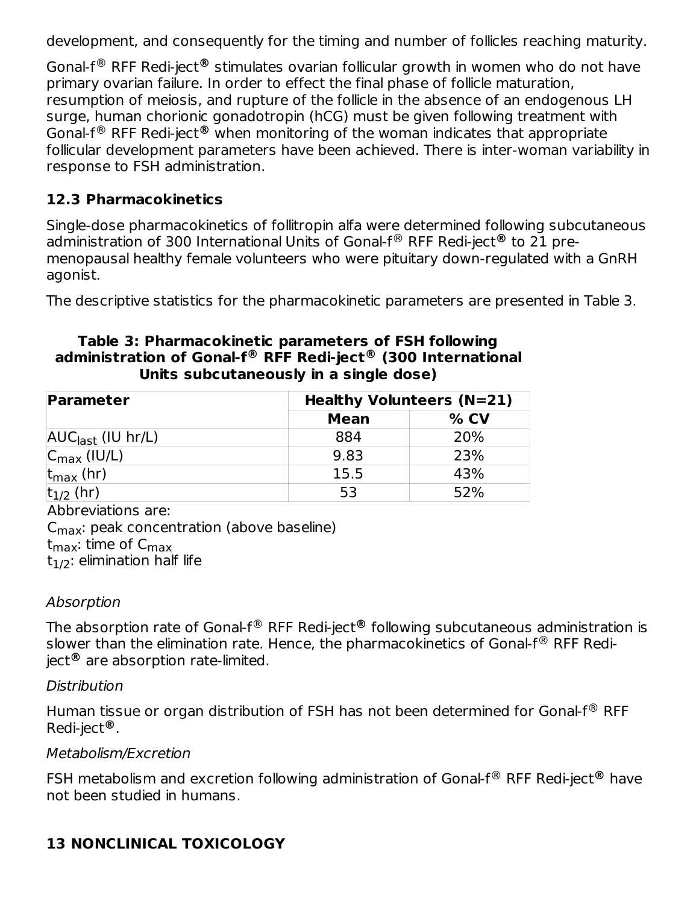development, and consequently for the timing and number of follicles reaching maturity.

Gonal-f<sup>®</sup> RFF Redi-ject® stimulates ovarian follicular growth in women who do not have primary ovarian failure. In order to effect the final phase of follicle maturation, resumption of meiosis, and rupture of the follicle in the absence of an endogenous LH surge, human chorionic gonadotropin (hCG) must be given following treatment with Gonal-f<sup>®</sup> RFF Redi-ject<sup>®</sup> when monitoring of the woman indicates that appropriate follicular development parameters have been achieved. There is inter-woman variability in response to FSH administration.

### **12.3 Pharmacokinetics**

Single-dose pharmacokinetics of follitropin alfa were determined following subcutaneous administration of 300 International Units of Gonal-f® RFF Redi-ject® to 21 premenopausal healthy female volunteers who were pituitary down-regulated with a GnRH agonist.

The descriptive statistics for the pharmacokinetic parameters are presented in Table 3.

#### **Table 3: Pharmacokinetic parameters of FSH following administration of Gonal-f RFF Redi-ject (300 International ® ® Units subcutaneously in a single dose)**

| Parameter                                           | Healthy Volunteers (N=21) |        |  |
|-----------------------------------------------------|---------------------------|--------|--|
|                                                     | <b>Mean</b>               | $%$ CV |  |
| $\overline{\mathsf{AUC}_{\mathsf{last}}}$ (IU hr/L) | 884                       | 20%    |  |
| $ C_{\text{max}}(IU/L) $                            | 9.83                      | 23%    |  |
| $ t_{\sf max}$ (hr)                                 | 15.5                      | 43%    |  |
| $t_{1/2}$ (hr)                                      | 53                        | 52%    |  |

Abbreviations are:

 $\mathsf{C}_{\mathsf{max}}$ : peak concentration (above baseline) t<sub>max</sub>: time of C<sub>max</sub>  $\rm t_{1/2}$ : elimination half life

#### Absorption

The absorption rate of Gonal-f® RFF Redi-ject® following subcutaneous administration is slower than the elimination rate. Hence, the pharmacokinetics of Gonal-f $^\circledR$  RFF Rediject® are absorption rate-limited.

#### **Distribution**

Human tissue or organ distribution of FSH has not been determined for Gonal-f $^\circledR$  RFF Redi-ject . **®**

#### Metabolism/Excretion

FSH metabolism and excretion following administration of Gonal-f<sup>®</sup> RFF Redi-ject® have not been studied in humans.

## **13 NONCLINICAL TOXICOLOGY**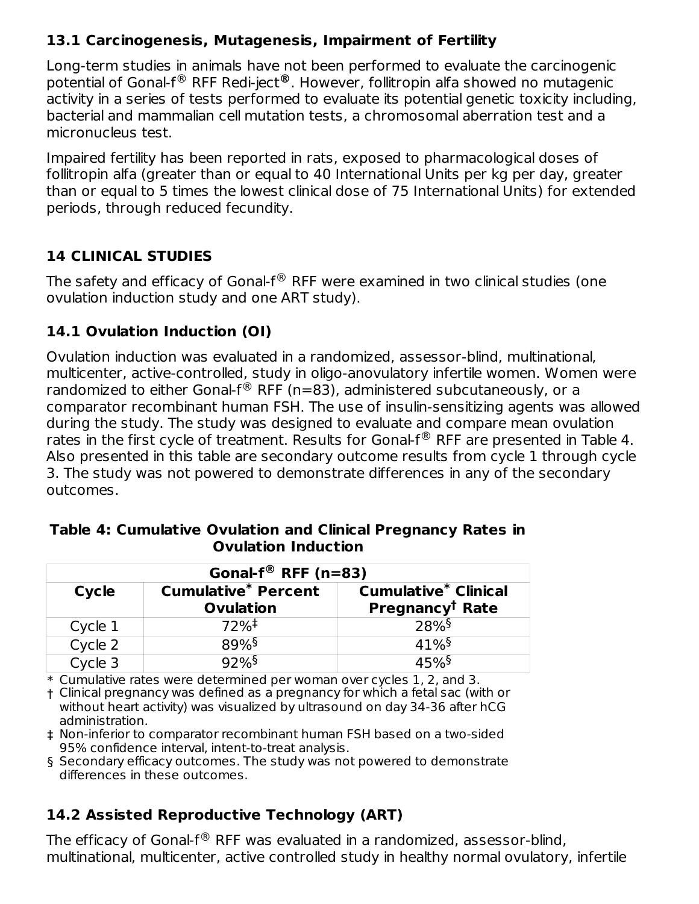#### **13.1 Carcinogenesis, Mutagenesis, Impairment of Fertility**

Long-term studies in animals have not been performed to evaluate the carcinogenic potential of Gonal-f® RFF Redi-ject®. However, follitropin alfa showed no mutagenic activity in a series of tests performed to evaluate its potential genetic toxicity including, bacterial and mammalian cell mutation tests, a chromosomal aberration test and a micronucleus test.

Impaired fertility has been reported in rats, exposed to pharmacological doses of follitropin alfa (greater than or equal to 40 International Units per kg per day, greater than or equal to 5 times the lowest clinical dose of 75 International Units) for extended periods, through reduced fecundity.

### **14 CLINICAL STUDIES**

The safety and efficacy of Gonal-f $^\circledR$  RFF were examined in two clinical studies (one ovulation induction study and one ART study).

### **14.1 Ovulation Induction (OI)**

Ovulation induction was evaluated in a randomized, assessor-blind, multinational, multicenter, active-controlled, study in oligo-anovulatory infertile women. Women were randomized to either Gonal-f $^{\circledR}$  RFF (n=83), administered subcutaneously, or a comparator recombinant human FSH. The use of insulin-sensitizing agents was allowed during the study. The study was designed to evaluate and compare mean ovulation rates in the first cycle of treatment. Results for Gonal- $f^{\circledR}$  RFF are presented in Table 4. Also presented in this table are secondary outcome results from cycle 1 through cycle 3. The study was not powered to demonstrate differences in any of the secondary outcomes.

| Gonal- $f^{\circledR}$ RFF (n=83)                                                                                     |         |                     |  |  |  |  |
|-----------------------------------------------------------------------------------------------------------------------|---------|---------------------|--|--|--|--|
| <b>Cumulative* Percent</b><br><b>Cumulative* Clinical</b><br>Cycle<br>Pregnancy <sup>†</sup> Rate<br><b>Ovulation</b> |         |                     |  |  |  |  |
| Cycle 1                                                                                                               | $72%^+$ | 28%                 |  |  |  |  |
| Cycle 2                                                                                                               | 89%     | $41\%$ <sup>§</sup> |  |  |  |  |
| Cycle 3                                                                                                               | 92%     | 45%§                |  |  |  |  |

**Table 4: Cumulative Ovulation and Clinical Pregnancy Rates in Ovulation Induction**

\* Cumulative rates were determined per woman over cycles 1, 2, and 3.

† Clinical pregnancy was defined as a pregnancy for which a fetal sac (with or without heart activity) was visualized by ultrasound on day 34-36 after hCG administration.

‡ Non-inferior to comparator recombinant human FSH based on a two-sided 95% confidence interval, intent-to-treat analysis.

§ Secondary efficacy outcomes. The study was not powered to demonstrate differences in these outcomes.

### **14.2 Assisted Reproductive Technology (ART)**

The efficacy of Gonal-f $^\circledR$  RFF was evaluated in a randomized, assessor-blind, multinational, multicenter, active controlled study in healthy normal ovulatory, infertile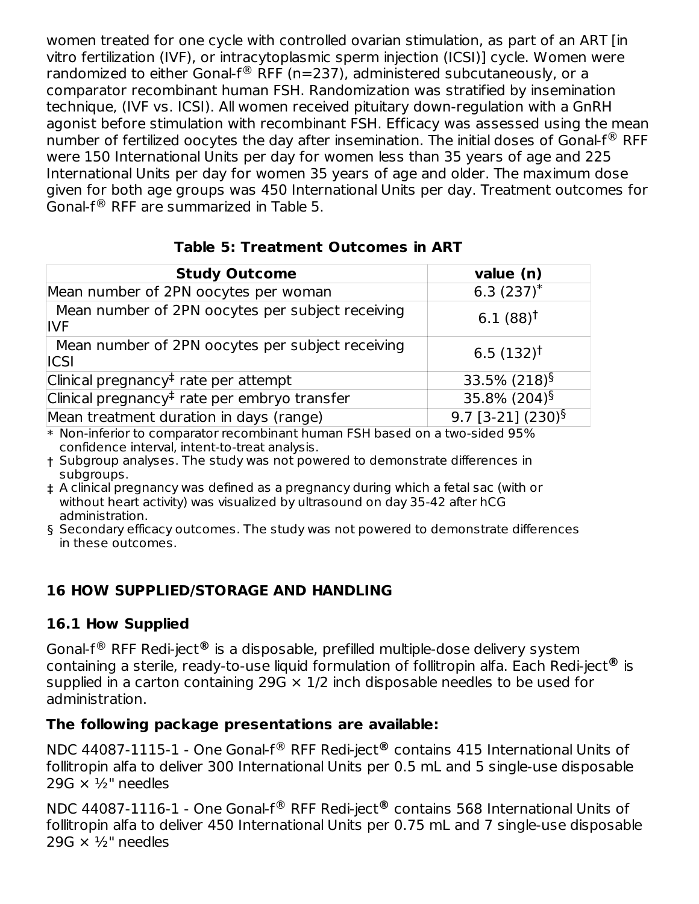women treated for one cycle with controlled ovarian stimulation, as part of an ART [in vitro fertilization (IVF), or intracytoplasmic sperm injection (ICSI)] cycle. Women were randomized to either Gonal-f $^{\circledR}$  RFF (n=237), administered subcutaneously, or a comparator recombinant human FSH. Randomization was stratified by insemination technique, (IVF vs. ICSI). All women received pituitary down-regulation with a GnRH agonist before stimulation with recombinant FSH. Efficacy was assessed using the mean number of fertilized oocytes the day after insemination. The initial doses of Gonal-f $^\circledR$  RFF were 150 International Units per day for women less than 35 years of age and 225 International Units per day for women 35 years of age and older. The maximum dose given for both age groups was 450 International Units per day. Treatment outcomes for Gonal-f $^{\circledR}$  RFF are summarized in Table 5.

#### **Table 5: Treatment Outcomes in ART**

| <b>Study Outcome</b>                                            | value (n)                       |
|-----------------------------------------------------------------|---------------------------------|
| Mean number of 2PN oocytes per woman                            | 6.3 $(237)^*$                   |
| Mean number of 2PN oocytes per subject receiving<br><b>IVF</b>  | $6.1(88)$ <sup>†</sup>          |
| Mean number of 2PN oocytes per subject receiving<br><b>ICSI</b> | $6.5(132)^{\dagger}$            |
| Clinical pregnancy <sup>‡</sup> rate per attempt                | 33.5% $(218)^{\S}$              |
| Clinical pregnancy <sup>‡</sup> rate per embryo transfer        | 35.8% (204) <sup>§</sup>        |
| Mean treatment duration in days (range)                         | $9.7$ [3-21] (230) <sup>§</sup> |

\* Non-inferior to comparator recombinant human FSH based on a two-sided 95% confidence interval, intent-to-treat analysis.

- † Subgroup analyses. The study was not powered to demonstrate differences in subgroups.
- ‡ A clinical pregnancy was defined as a pregnancy during which a fetal sac (with or without heart activity) was visualized by ultrasound on day 35-42 after hCG administration.
- § Secondary efficacy outcomes. The study was not powered to demonstrate differences in these outcomes.

#### **16 HOW SUPPLIED/STORAGE AND HANDLING**

#### **16.1 How Supplied**

Gonal-f<sup>®</sup> RFF Redi-ject® is a disposable, prefilled multiple-dose delivery system containing a sterile, ready-to-use liquid formulation of follitropin alfa. Each Redi-ject® is supplied in a carton containing 29G  $\times$  1/2 inch disposable needles to be used for administration.

#### **The following package presentations are available:**

NDC 44087-1115-1 - One Gonal-f® RFF Redi-ject® contains 415 International Units of follitropin alfa to deliver 300 International Units per 0.5 mL and 5 single-use disposable 29G  $\times$  1/<sub>2</sub>" needles

NDC 44087-1116-1 - One Gonal-f® RFF Redi-ject® contains 568 International Units of follitropin alfa to deliver 450 International Units per 0.75 mL and 7 single-use disposable 29G  $\times$  1/<sub>2</sub>" needles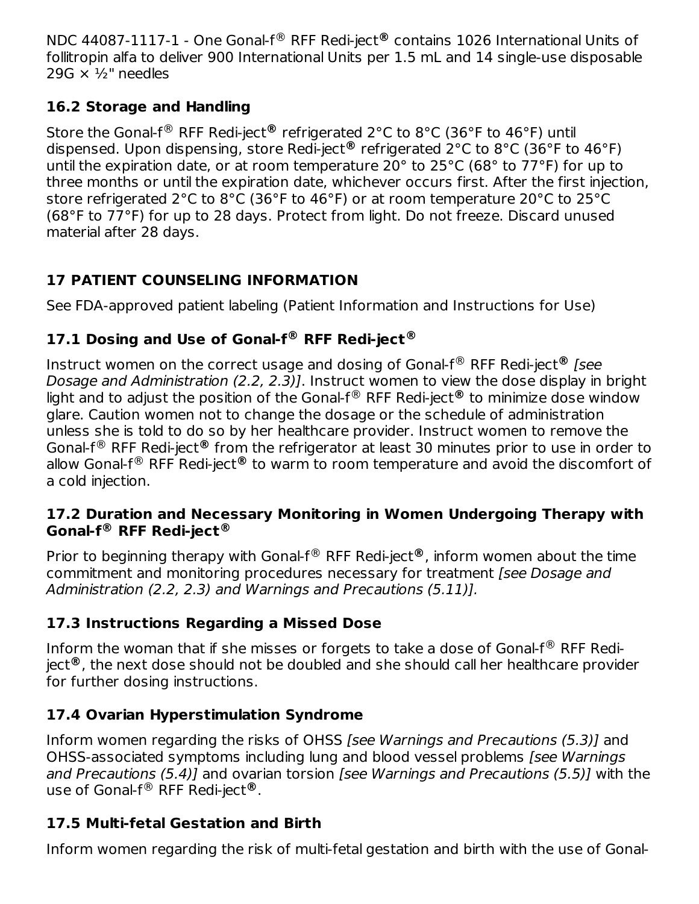NDC 44087-1117-1 - One Gonal-f® RFF Redi-ject® contains 1026 International Units of follitropin alfa to deliver 900 International Units per 1.5 mL and 14 single-use disposable 29G  $\times$  1/<sub>2</sub>" needles

### **16.2 Storage and Handling**

Store the Gonal-f® RFF Redi-ject® refrigerated 2°C to 8°C (36°F to 46°F) until dispensed. Upon dispensing, store Redi-ject® refrigerated 2°C to 8°C (36°F to 46°F) until the expiration date, or at room temperature 20° to 25°C (68° to 77°F) for up to three months or until the expiration date, whichever occurs first. After the first injection, store refrigerated 2°C to 8°C (36°F to 46°F) or at room temperature 20°C to 25°C (68°F to 77°F) for up to 28 days. Protect from light. Do not freeze. Discard unused material after 28 days.

## **17 PATIENT COUNSELING INFORMATION**

See FDA-approved patient labeling (Patient Information and Instructions for Use)

## **17.1 Dosing and Use of Gonal-f RFF Redi-ject ® ®**

Instruct women on the correct usage and dosing of Gonal-f® RFF Redi-ject® *[see* Dosage and Administration (2.2, 2.3)]. Instruct women to view the dose display in bright light and to adjust the position of the Gonal-f® RFF Redi-ject® to minimize dose window glare. Caution women not to change the dosage or the schedule of administration unless she is told to do so by her healthcare provider. Instruct women to remove the Gonal-f<sup>®</sup> RFF Redi-ject® from the refrigerator at least 30 minutes prior to use in order to allow Gonal-f® RFF Redi-ject® to warm to room temperature and avoid the discomfort of a cold injection.

#### **17.2 Duration and Necessary Monitoring in Women Undergoing Therapy with Gonal-f RFF Redi-ject ® ®**

Prior to beginning therapy with Gonal-f® RFF Redi-ject®, inform women about the time commitment and monitoring procedures necessary for treatment [see Dosage and Administration (2.2, 2.3) and Warnings and Precautions (5.11)].

## **17.3 Instructions Regarding a Missed Dose**

Inform the woman that if she misses or forgets to take a dose of Gonal-f $^\circledR$  RFF Rediject®, the next dose should not be doubled and she should call her healthcare provider for further dosing instructions.

## **17.4 Ovarian Hyperstimulation Syndrome**

Inform women regarding the risks of OHSS [see Warnings and Precautions (5.3)] and OHSS-associated symptoms including lung and blood vessel problems [see Warnings and Precautions (5.4)] and ovarian torsion [see Warnings and Precautions (5.5)] with the use of Gonal-f® RFF Redi-ject®.

## **17.5 Multi-fetal Gestation and Birth**

Inform women regarding the risk of multi-fetal gestation and birth with the use of Gonal-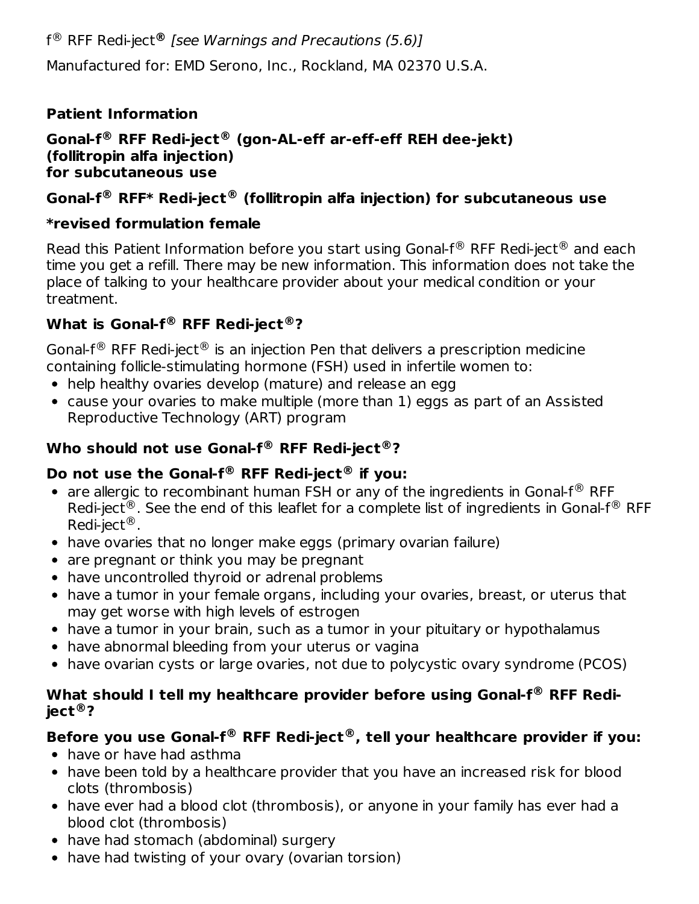f RFF Redi-ject [see Warnings and Precautions (5.6)] ® **®** Manufactured for: EMD Serono, Inc., Rockland, MA 02370 U.S.A.

### **Patient Information**

#### **Gonal-f RFF Redi-ject (gon-AL-eff ar-eff-eff REH dee-jekt) ® ® (follitropin alfa injection) for subcutaneous use**

### **Gonal-f RFF\* Redi-ject (follitropin alfa injection) for subcutaneous use ® ®**

### **\*revised formulation female**

Read this Patient Information before you start using Gonal-f $^{\circledR}$  RFF Redi-ject $^{\circledR}$  and each time you get a refill. There may be new information. This information does not take the place of talking to your healthcare provider about your medical condition or your treatment.

## **What is Gonal-f RFF Redi-ject ? ® ®**

Gonal-f $^\circledR$  RFF Redi-ject $^\circledR$  is an injection Pen that delivers a prescription medicine containing follicle-stimulating hormone (FSH) used in infertile women to:

- help healthy ovaries develop (mature) and release an egg
- cause your ovaries to make multiple (more than 1) eggs as part of an Assisted Reproductive Technology (ART) program

### **Who should not use Gonal-f RFF Redi-ject ? ® ®**

### **Do not use the Gonal-f RFF Redi-ject if you: ® ®**

- are allergic to recombinant human FSH or any of the ingredients in Gonal-f $\mathcal{R}$  RFF Redi-ject<sup>®</sup>. See the end of this leaflet for a complete list of ingredients in Gonal-f<sup>®</sup> RFF Redi-ject<sup>®</sup>.
- have ovaries that no longer make eggs (primary ovarian failure)
- are pregnant or think you may be pregnant
- have uncontrolled thyroid or adrenal problems
- have a tumor in your female organs, including your ovaries, breast, or uterus that may get worse with high levels of estrogen
- have a tumor in your brain, such as a tumor in your pituitary or hypothalamus
- have abnormal bleeding from your uterus or vagina
- have ovarian cysts or large ovaries, not due to polycystic ovary syndrome (PCOS)

#### **What should I tell my healthcare provider before using Gonal-f RFF Redi-® ject ? ®**

## **Before you use Gonal-f RFF Redi-ject , tell your healthcare provider if you: ® ®**

- have or have had asthma
- have been told by a healthcare provider that you have an increased risk for blood clots (thrombosis)
- have ever had a blood clot (thrombosis), or anyone in your family has ever had a blood clot (thrombosis)
- have had stomach (abdominal) surgery
- have had twisting of your ovary (ovarian torsion)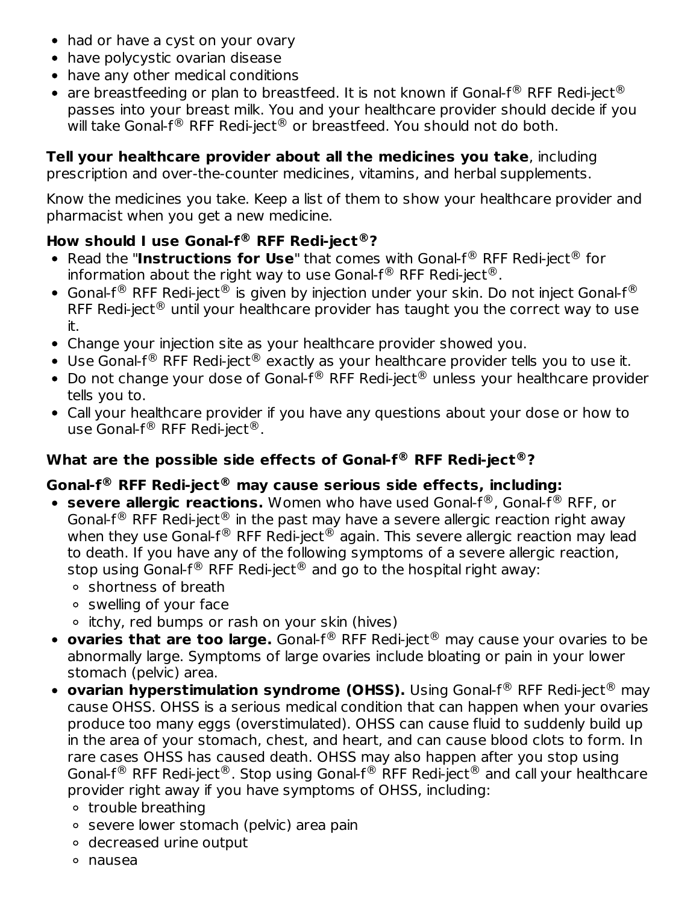- had or have a cyst on your ovary
- have polycystic ovarian disease
- have any other medical conditions
- are breastfeeding or plan to breastfeed. It is not known if Gonal-f $^\circledR$  RFF Redi-ject $^\circledR$ passes into your breast milk. You and your healthcare provider should decide if you will take Gonal-f $^\circledR$  RFF Redi-ject $^\circledR$  or breastfeed. You should not do both.

## **Tell your healthcare provider about all the medicines you take**, including

prescription and over-the-counter medicines, vitamins, and herbal supplements.

Know the medicines you take. Keep a list of them to show your healthcare provider and pharmacist when you get a new medicine.

### **How should I use Gonal-f RFF Redi-ject ? ® ®**

- Read the "Instructions for Use" that comes with Gonal-f<sup>®</sup> RFF Redi-ject<sup>®</sup> for information about the right way to use Gonal-f $^{\circledR}$  RFF Redi-ject $^{\circledR}$ .
- Gonal-f $^\circledR$  RFF Redi-ject $^\circledR$  is given by injection under your skin. Do not inject Gonal-f $^\circledR$ RFF Redi-ject $^\circledR$  until your healthcare provider has taught you the correct way to use it.
- Change your injection site as your healthcare provider showed you.
- Use Gonal-f $^{\circledR}$  RFF Redi-ject $^{\circledR}$  exactly as your healthcare provider tells you to use it.
- Do not change your dose of Gonal-f $^{\circledR}$  RFF Redi-ject $^{\circledR}$  unless your healthcare provider tells you to.
- Call your healthcare provider if you have any questions about your dose or how to use Gonal-f $^\circledR$  RFF Redi-ject $^\circledR$ .

### **What are the possible side effects of Gonal-f RFF Redi-ject ? ® ®**

### **Gonal-f RFF Redi-ject may cause serious side effects, including: ® ®**

- **severe allergic reactions.** Women who have used Gonal-f®, Gonal-f® RFF, or Gonal-f $^\circledR$  RFF Redi-ject $^\circledR$  in the past may have a severe allergic reaction right away when they use Gonal-f $^\circledR$  RFF Redi-ject $^\circledR$  again. This severe allergic reaction may lead to death. If you have any of the following symptoms of a severe allergic reaction, stop using Gonal-f $^\circledR$  RFF Redi-ject $^\circledR$  and go to the hospital right away:
	- shortness of breath
	- swelling of your face
	- itchy, red bumps or rash on your skin (hives)
- **ovaries that are too large.** Gonal-f® RFF Redi-ject® may cause your ovaries to be abnormally large. Symptoms of large ovaries include bloating or pain in your lower stomach (pelvic) area.
- **ovarian hyperstimulation syndrome (OHSS).** Using Gonal-f<sup>®</sup> RFF Redi-ject<sup>®</sup> may cause OHSS. OHSS is a serious medical condition that can happen when your ovaries produce too many eggs (overstimulated). OHSS can cause fluid to suddenly build up in the area of your stomach, chest, and heart, and can cause blood clots to form. In rare cases OHSS has caused death. OHSS may also happen after you stop using Gonal-f $^{\circledR}$  RFF Redi-ject $^{\circledR}$ . Stop using Gonal-f $^{\circledR}$  RFF Redi-ject $^{\circledR}$  and call your healthcare provider right away if you have symptoms of OHSS, including:
	- o trouble breathing
	- severe lower stomach (pelvic) area pain
	- decreased urine output
	- nausea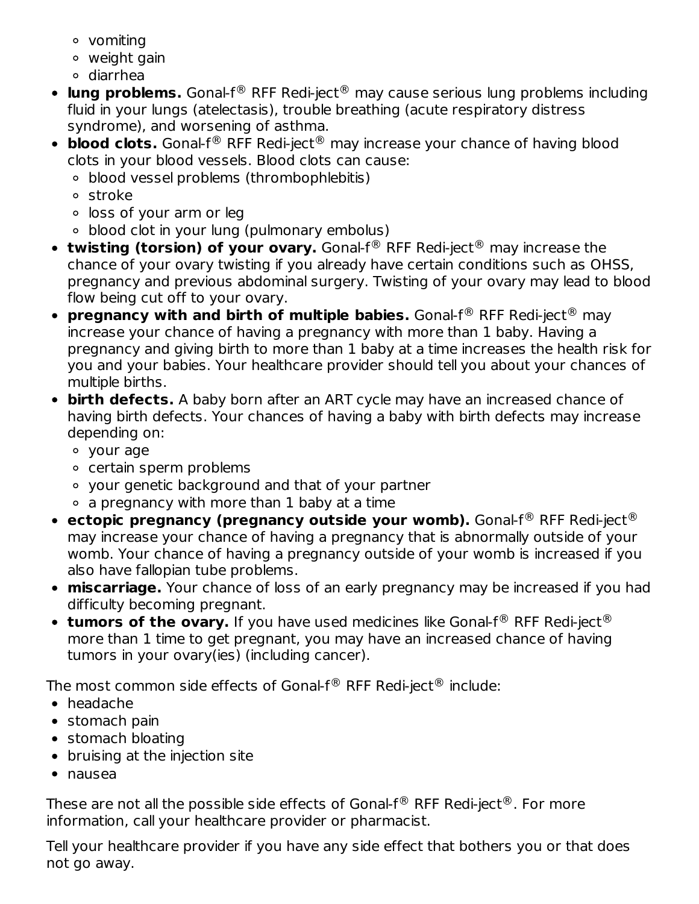- vomiting
- weight gain
- diarrhea
- **lung problems.** Gonal-f<sup>®</sup> RFF Redi-ject<sup>®</sup> may cause serious lung problems including fluid in your lungs (atelectasis), trouble breathing (acute respiratory distress syndrome), and worsening of asthma.
- **blood clots.** Gonal-f<sup>®</sup> RFF Redi-ject<sup>®</sup> may increase your chance of having blood clots in your blood vessels. Blood clots can cause:
	- blood vessel problems (thrombophlebitis)
	- stroke
	- loss of your arm or leg
	- blood clot in your lung (pulmonary embolus)
- **twisting (torsion) of your ovary.** Gonal-f® RFF Redi-ject® may increase the chance of your ovary twisting if you already have certain conditions such as OHSS, pregnancy and previous abdominal surgery. Twisting of your ovary may lead to blood flow being cut off to your ovary.
- **pregnancy with and birth of multiple babies.** Gonal-f<sup>®</sup> RFF Redi-ject<sup>®</sup> may increase your chance of having a pregnancy with more than 1 baby. Having a pregnancy and giving birth to more than 1 baby at a time increases the health risk for you and your babies. Your healthcare provider should tell you about your chances of multiple births.
- **birth defects.** A baby born after an ART cycle may have an increased chance of having birth defects. Your chances of having a baby with birth defects may increase depending on:
	- your age
	- certain sperm problems
	- your genetic background and that of your partner
	- $\circ$  a pregnancy with more than 1 baby at a time
- **ectopic pregnancy (pregnancy outside your womb).** Gonal-f<sup>®</sup> RFF Redi-ject® may increase your chance of having a pregnancy that is abnormally outside of your womb. Your chance of having a pregnancy outside of your womb is increased if you also have fallopian tube problems.
- **miscarriage.** Your chance of loss of an early pregnancy may be increased if you had difficulty becoming pregnant.
- **tumors of the ovary.** If you have used medicines like Gonal-f® RFF Redi-ject® more than 1 time to get pregnant, you may have an increased chance of having tumors in your ovary(ies) (including cancer).

The most common side effects of Gonal-f $^\circledR$  RFF Redi-ject $^\circledR$  include:

- headache
- stomach pain
- stomach bloating
- bruising at the injection site
- nausea

These are not all the possible side effects of Gonal-f $^\circledR$  RFF Redi-ject $^\circledR$ . For more information, call your healthcare provider or pharmacist.

Tell your healthcare provider if you have any side effect that bothers you or that does not go away.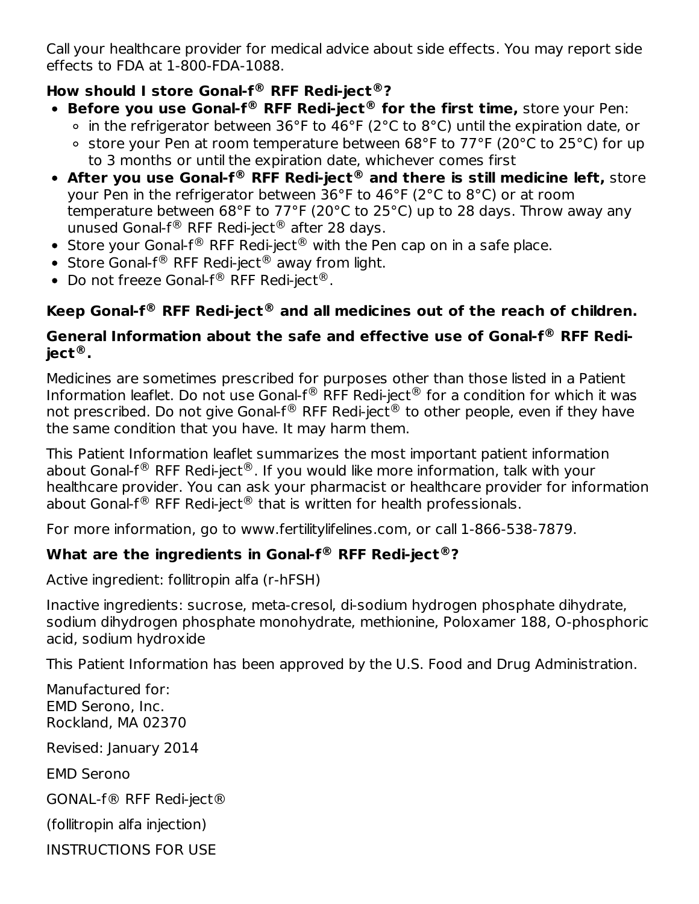Call your healthcare provider for medical advice about side effects. You may report side effects to FDA at 1-800-FDA-1088.

#### **How should I store Gonal-f RFF Redi-ject ? ® ®**

- **Before you use Gonal-f® RFF Redi-ject® for the first time, store your Pen:** 
	- in the refrigerator between 36°F to 46°F (2°C to 8°C) until the expiration date, or
	- store your Pen at room temperature between 68°F to 77°F (20°C to 25°C) for up to 3 months or until the expiration date, whichever comes first
- **After you use Gonal-f RFF Redi-ject and there is still medicine left,** store **® ®** your Pen in the refrigerator between 36°F to 46°F (2°C to 8°C) or at room temperature between 68°F to 77°F (20°C to 25°C) up to 28 days. Throw away any unused Gonal-f $^{\circledR}$  RFF Redi-ject $^{\circledR}$  after 28 days.
- Store your Gonal-f $^{\circledR}$  RFF Redi-ject $^{\circledR}$  with the Pen cap on in a safe place.
- Store Gonal-f $^{\circledR}$  RFF Redi-ject $^{\circledR}$  away from light.
- Do not freeze Gonal-f® RFF Redi-ject®.

## **Keep Gonal-f RFF Redi-ject and all medicines out of the reach of children. ® ®**

#### **General Information about the safe and effective use of Gonal-f RFF Redi-® ject . ®**

Medicines are sometimes prescribed for purposes other than those listed in a Patient Information leaflet. Do not use Gonal-f $^{\circledR}$  RFF Redi-ject $^{\circledR}$  for a condition for which it was not prescribed. Do not give Gonal-f $^\circledR$  RFF Redi-ject $^\circledR$  to other people, even if they have the same condition that you have. It may harm them.

This Patient Information leaflet summarizes the most important patient information about Gonal-f $^\circledR$  RFF Redi-ject $^\circledR$ . If you would like more information, talk with your healthcare provider. You can ask your pharmacist or healthcare provider for information about Gonal-f $^{\circledR}$  RFF Redi-ject $^{\circledR}$  that is written for health professionals.

For more information, go to www.fertilitylifelines.com, or call 1-866-538-7879.

### **What are the ingredients in Gonal-f RFF Redi-ject ? ® ®**

Active ingredient: follitropin alfa (r-hFSH)

Inactive ingredients: sucrose, meta-cresol, di-sodium hydrogen phosphate dihydrate, sodium dihydrogen phosphate monohydrate, methionine, Poloxamer 188, O-phosphoric acid, sodium hydroxide

This Patient Information has been approved by the U.S. Food and Drug Administration.

Manufactured for: EMD Serono, Inc. Rockland, MA 02370

Revised: January 2014

EMD Serono

GONAL-f® RFF Redi-ject®

(follitropin alfa injection)

INSTRUCTIONS FOR USE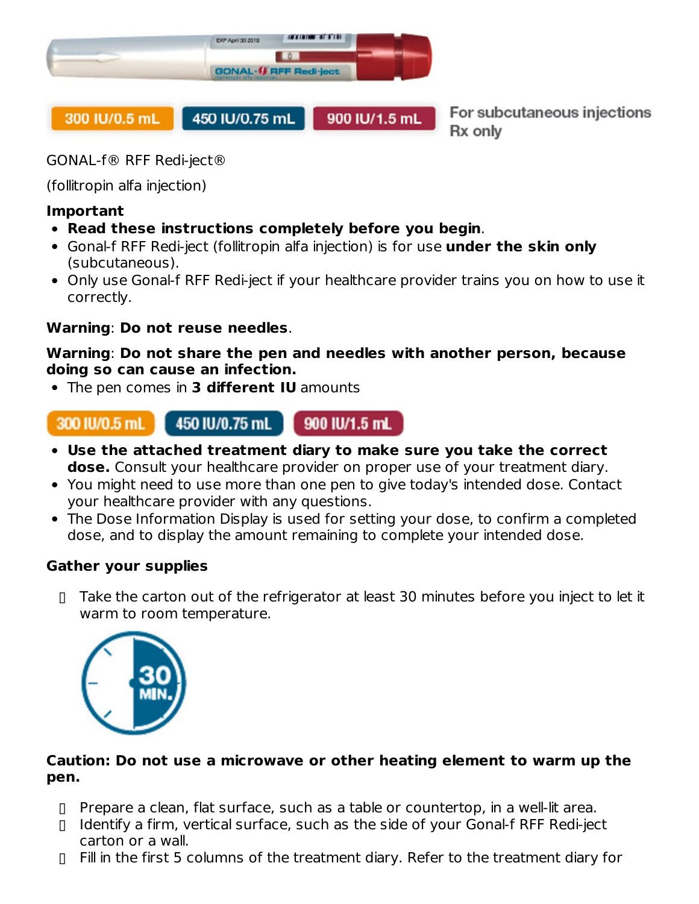

For subcutaneous injections Rx only

GONAL-f® RFF Redi-ject®

(follitropin alfa injection)

#### **Important**

- **Read these instructions completely before you begin**.
- Gonal-f RFF Redi-ject (follitropin alfa injection) is for use **under the skin only** (subcutaneous).
- Only use Gonal-f RFF Redi-ject if your healthcare provider trains you on how to use it correctly.

#### **Warning**: **Do not reuse needles**.

#### **Warning**: **Do not share the pen and needles with another person, because doing so can cause an infection.**

The pen comes in **3 different IU** amounts



- **Use the attached treatment diary to make sure you take the correct dose.** Consult your healthcare provider on proper use of your treatment diary.
- You might need to use more than one pen to give today's intended dose. Contact your healthcare provider with any questions.
- The Dose Information Display is used for setting your dose, to confirm a completed dose, and to display the amount remaining to complete your intended dose.

#### **Gather your supplies**

▯ Take the carton out of the refrigerator at least 30 minutes before you inject to let it warm to room temperature.



#### **Caution: Do not use a microwave or other heating element to warm up the pen.**

- ▯ Prepare a clean, flat surface, such as a table or countertop, in a well-lit area.
- ▯ Identify a firm, vertical surface, such as the side of your Gonal-f RFF Redi-ject carton or a wall.
- ▯ Fill in the first 5 columns of the treatment diary. Refer to the treatment diary for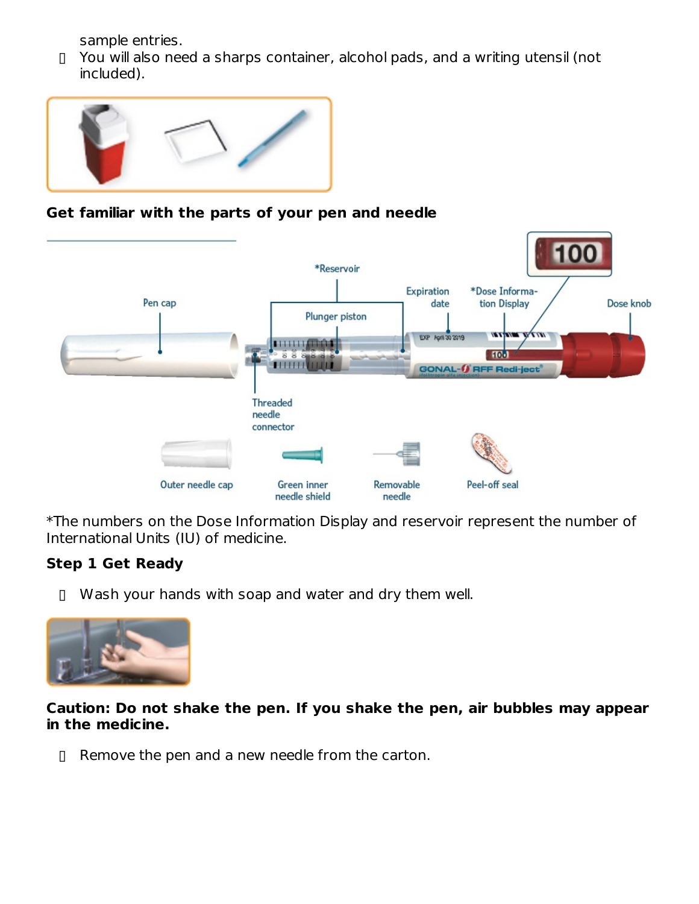sample entries.

▯ You will also need a sharps container, alcohol pads, and a writing utensil (not included).



#### **Get familiar with the parts of your pen and needle**



\*The numbers on the Dose Information Display and reservoir represent the number of International Units (IU) of medicine.

### **Step 1 Get Ready**

▯ Wash your hands with soap and water and dry them well.



**Caution: Do not shake the pen. If you shake the pen, air bubbles may appear in the medicine.**

▯ Remove the pen and a new needle from the carton.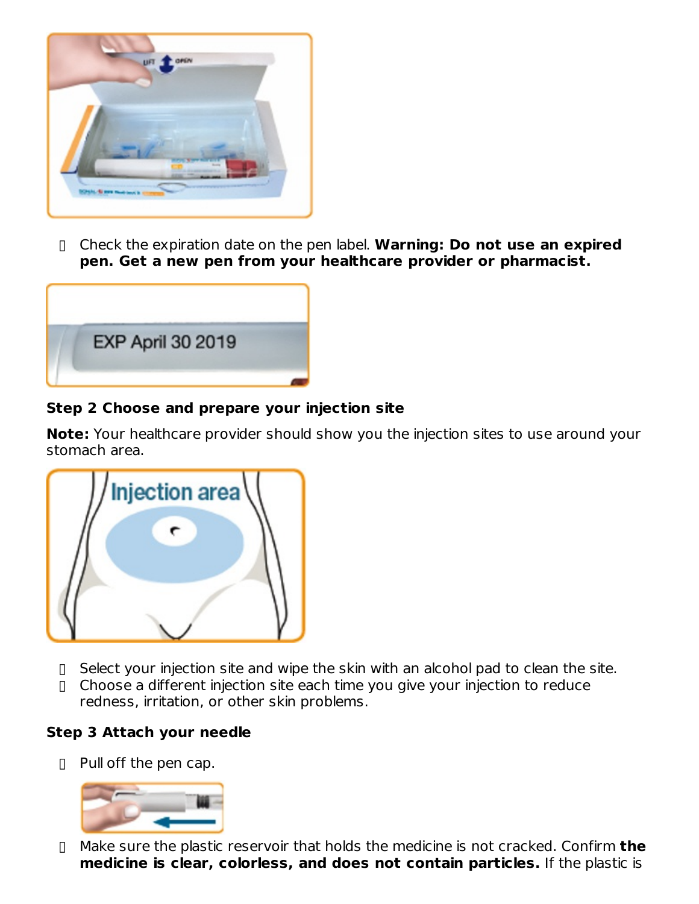

▯ Check the expiration date on the pen label. **Warning: Do not use an expired pen. Get a new pen from your healthcare provider or pharmacist.**



#### **Step 2 Choose and prepare your injection site**

**Note:** Your healthcare provider should show you the injection sites to use around your stomach area.

| /Injection area $\backslash$ |  |
|------------------------------|--|
|                              |  |
|                              |  |
|                              |  |

- ▯ Select your injection site and wipe the skin with an alcohol pad to clean the site.
- ▯ Choose a different injection site each time you give your injection to reduce redness, irritation, or other skin problems.

#### **Step 3 Attach your needle**

▯ Pull off the pen cap.



▯ Make sure the plastic reservoir that holds the medicine is not cracked. Confirm **the medicine is clear, colorless, and does not contain particles.** If the plastic is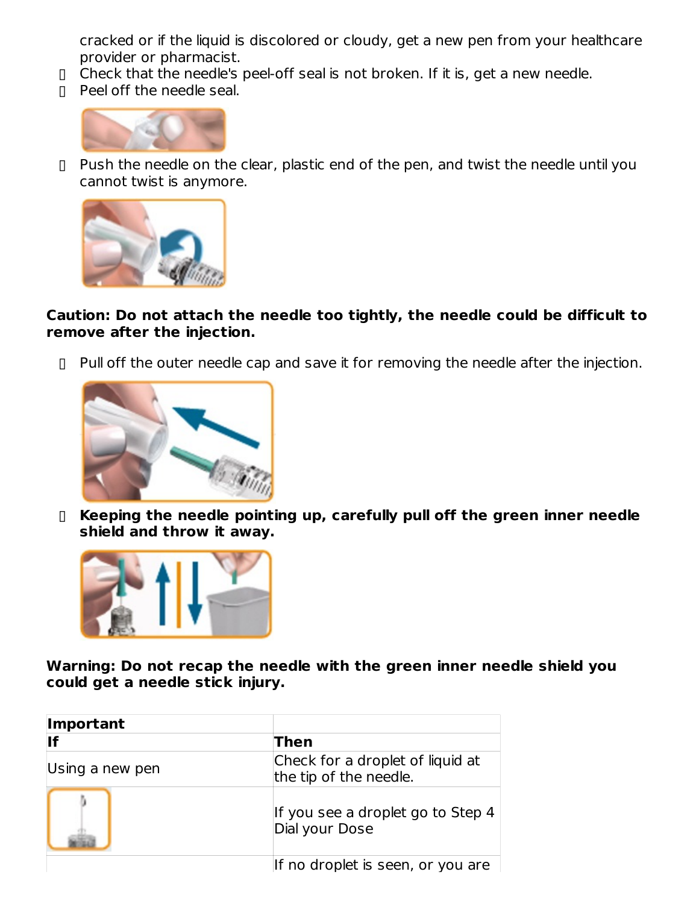cracked or if the liquid is discolored or cloudy, get a new pen from your healthcare provider or pharmacist.

- ▯ Check that the needle's peel-off seal is not broken. If it is, get a new needle.
- ▯ Peel off the needle seal.



▯ Push the needle on the clear, plastic end of the pen, and twist the needle until you cannot twist is anymore.



#### **Caution: Do not attach the needle too tightly, the needle could be difficult to remove after the injection.**

▯ Pull off the outer needle cap and save it for removing the needle after the injection.



▯ **Keeping the needle pointing up, carefully pull off the green inner needle shield and throw it away.**



**Warning: Do not recap the needle with the green inner needle shield you could get a needle stick injury.**

| Important       |                                                            |
|-----------------|------------------------------------------------------------|
| llf             | Then                                                       |
| Using a new pen | Check for a droplet of liquid at<br>the tip of the needle. |
|                 | If you see a droplet go to Step 4<br>Dial your Dose        |
|                 | If no droplet is seen, or you are $\vert$                  |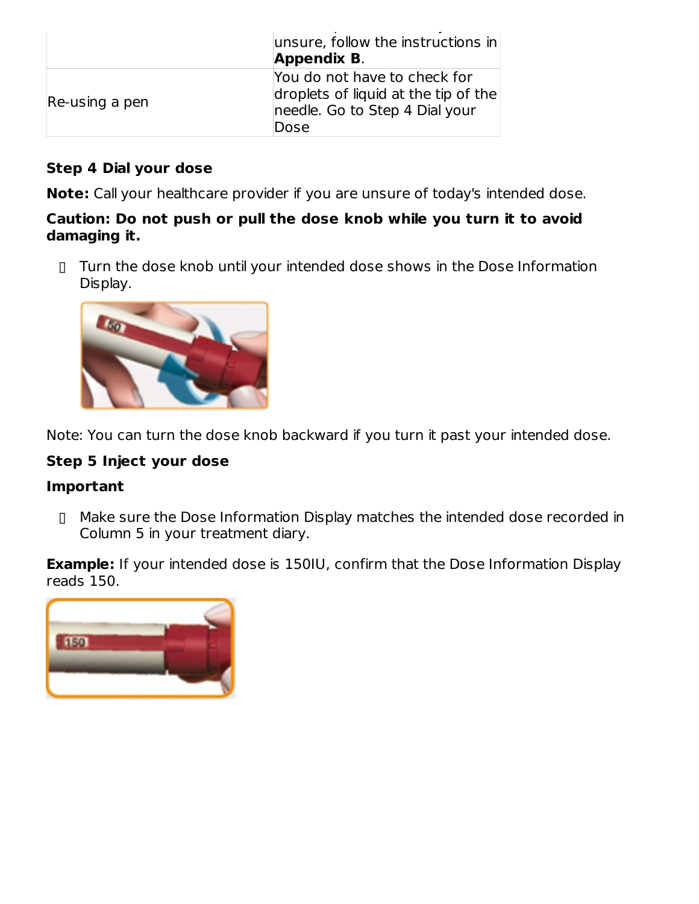|                | $ $ unsure, follow the instructions in<br><b>Appendix B.</b>                                                   |
|----------------|----------------------------------------------------------------------------------------------------------------|
| Re-using a pen | You do not have to check for<br>droplets of liquid at the tip of the<br>needle. Go to Step 4 Dial your<br>Dose |

#### **Step 4 Dial your dose**

**Note:** Call your healthcare provider if you are unsure of today's intended dose.

#### **Caution: Do not push or pull the dose knob while you turn it to avoid damaging it.**

▯ Turn the dose knob until your intended dose shows in the Dose Information Display.



Note: You can turn the dose knob backward if you turn it past your intended dose.

### **Step 5 Inject your dose**

#### **Important**

▯ Make sure the Dose Information Display matches the intended dose recorded in Column 5 in your treatment diary.

**Example:** If your intended dose is 150IU, confirm that the Dose Information Display reads 150.

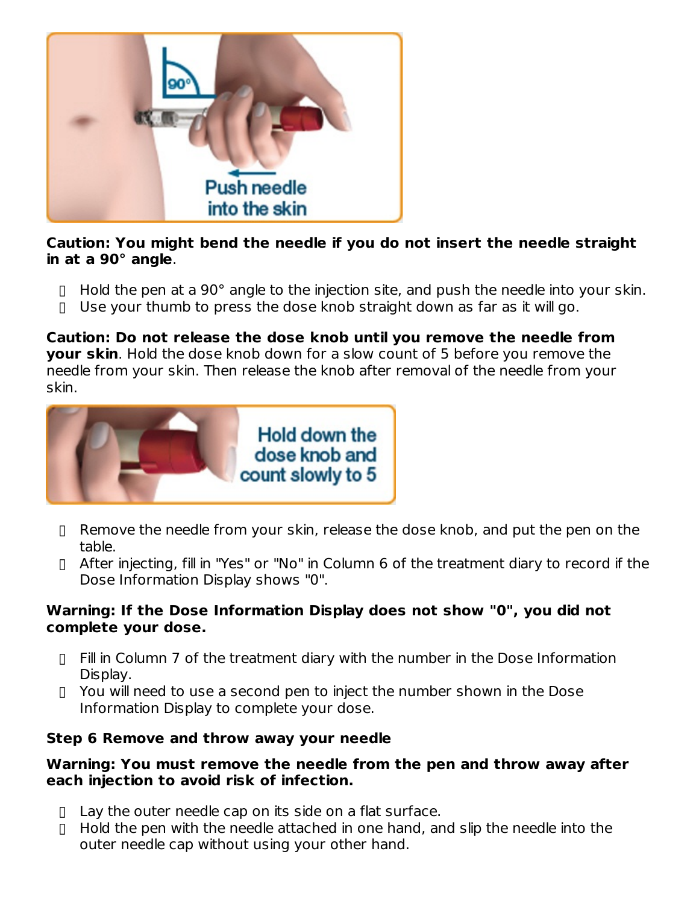

**Caution: You might bend the needle if you do not insert the needle straight in at a 90° angle**.

- ▯ Hold the pen at a 90° angle to the injection site, and push the needle into your skin.
- ▯ Use your thumb to press the dose knob straight down as far as it will go.

**Caution: Do not release the dose knob until you remove the needle from your skin**. Hold the dose knob down for a slow count of 5 before you remove the needle from your skin. Then release the knob after removal of the needle from your skin.



- ▯ Remove the needle from your skin, release the dose knob, and put the pen on the table.
- ▯ After injecting, fill in "Yes" or "No" in Column 6 of the treatment diary to record if the Dose Information Display shows "0".

#### **Warning: If the Dose Information Display does not show "0", you did not complete your dose.**

- ▯ Fill in Column 7 of the treatment diary with the number in the Dose Information Display.
- ▯ You will need to use a second pen to inject the number shown in the Dose Information Display to complete your dose.

#### **Step 6 Remove and throw away your needle**

#### **Warning: You must remove the needle from the pen and throw away after each injection to avoid risk of infection.**

- ▯ Lay the outer needle cap on its side on a flat surface.
- ▯ Hold the pen with the needle attached in one hand, and slip the needle into the outer needle cap without using your other hand.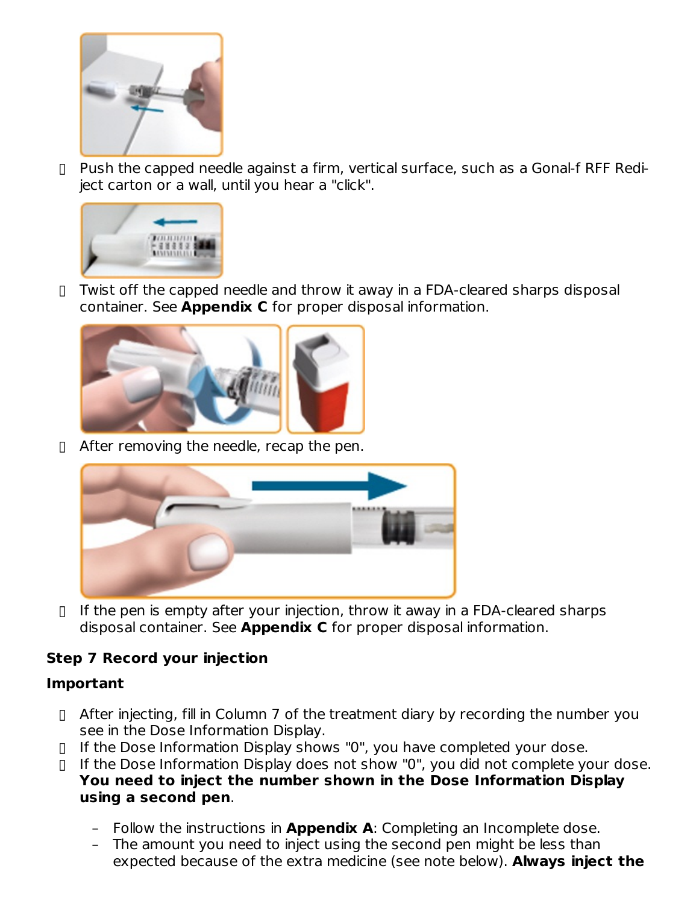

▯ Push the capped needle against a firm, vertical surface, such as a Gonal-f RFF Rediject carton or a wall, until you hear a "click".



▯ Twist off the capped needle and throw it away in a FDA-cleared sharps disposal container. See **Appendix C** for proper disposal information.



▯ After removing the needle, recap the pen.



▯ If the pen is empty after your injection, throw it away in a FDA-cleared sharps disposal container. See **Appendix C** for proper disposal information.

#### **Step 7 Record your injection**

#### **Important**

- ▯ After injecting, fill in Column 7 of the treatment diary by recording the number you see in the Dose Information Display.
- ▯ If the Dose Information Display shows "0", you have completed your dose.
- ▯ If the Dose Information Display does not show "0", you did not complete your dose. **You need to inject the number shown in the Dose Information Display using a second pen**.
	- Follow the instructions in **Appendix A**: Completing an Incomplete dose.
	- The amount you need to inject using the second pen might be less than expected because of the extra medicine (see note below). **Always inject the**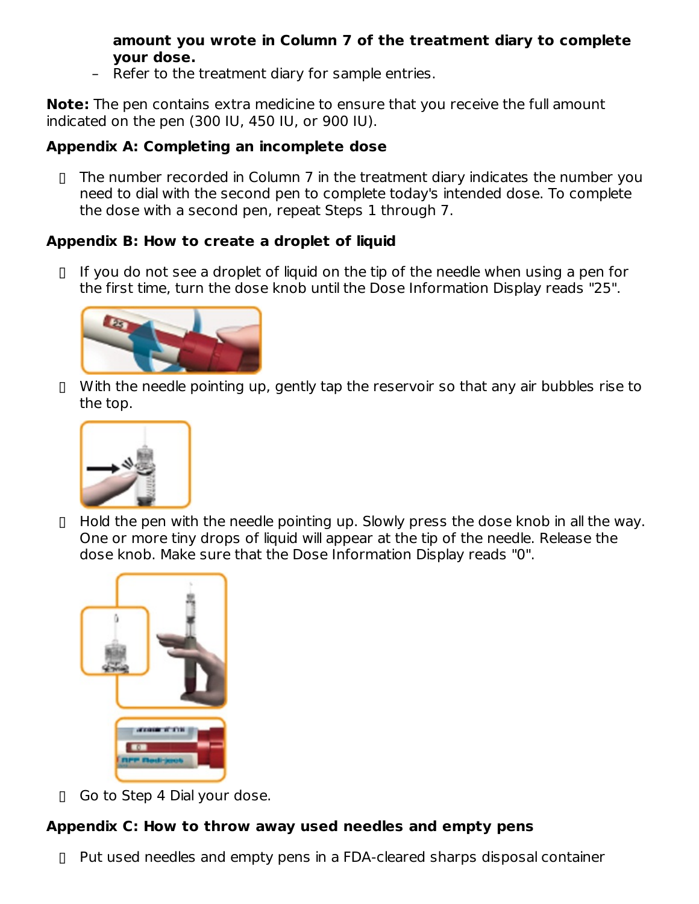#### **amount you wrote in Column 7 of the treatment diary to complete your dose.**

– Refer to the treatment diary for sample entries.

**Note:** The pen contains extra medicine to ensure that you receive the full amount indicated on the pen (300 IU, 450 IU, or 900 IU).

### **Appendix A: Completing an incomplete dose**

▯ The number recorded in Column 7 in the treatment diary indicates the number you need to dial with the second pen to complete today's intended dose. To complete the dose with a second pen, repeat Steps 1 through 7.

### **Appendix B: How to create a droplet of liquid**

▯ If you do not see a droplet of liquid on the tip of the needle when using a pen for the first time, turn the dose knob until the Dose Information Display reads "25".



▯ With the needle pointing up, gently tap the reservoir so that any air bubbles rise to the top.



▯ Hold the pen with the needle pointing up. Slowly press the dose knob in all the way. One or more tiny drops of liquid will appear at the tip of the needle. Release the dose knob. Make sure that the Dose Information Display reads "0".



▯ Go to Step 4 Dial your dose.

### **Appendix C: How to throw away used needles and empty pens**

▯ Put used needles and empty pens in a FDA-cleared sharps disposal container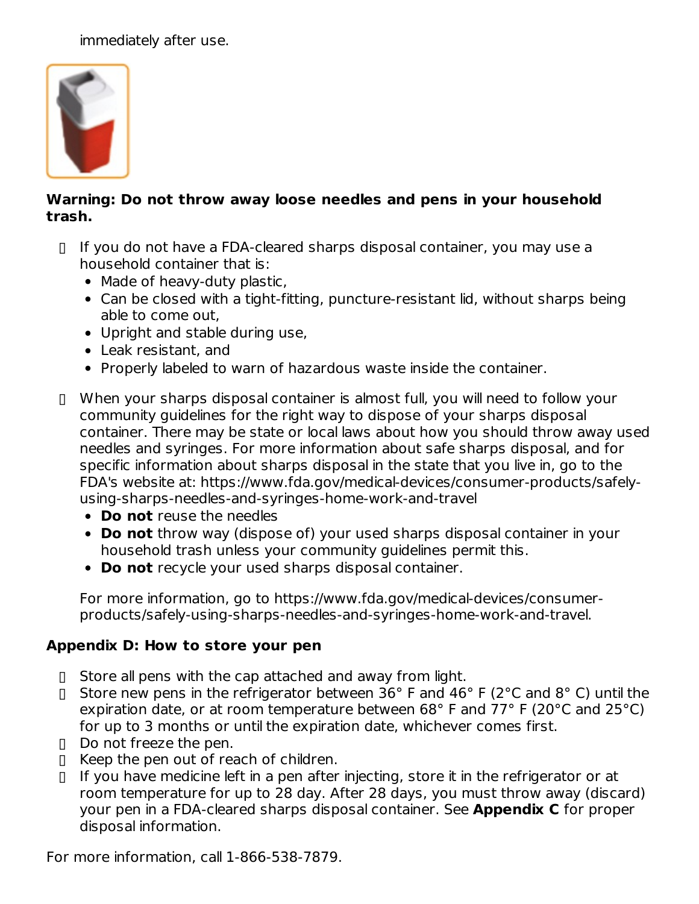immediately after use.



#### **Warning: Do not throw away loose needles and pens in your household trash.**

- ▯ If you do not have a FDA-cleared sharps disposal container, you may use a household container that is:
	- Made of heavy-duty plastic,
	- Can be closed with a tight-fitting, puncture-resistant lid, without sharps being able to come out,
	- Upright and stable during use,
	- Leak resistant, and
	- Properly labeled to warn of hazardous waste inside the container.
- ▯ When your sharps disposal container is almost full, you will need to follow your community guidelines for the right way to dispose of your sharps disposal container. There may be state or local laws about how you should throw away used needles and syringes. For more information about safe sharps disposal, and for specific information about sharps disposal in the state that you live in, go to the FDA's website at: https://www.fda.gov/medical-devices/consumer-products/safelyusing-sharps-needles-and-syringes-home-work-and-travel
	- **Do not** reuse the needles
	- **Do not** throw way (dispose of) your used sharps disposal container in your household trash unless your community guidelines permit this.
	- **Do not** recycle your used sharps disposal container.

For more information, go to https://www.fda.gov/medical-devices/consumerproducts/safely-using-sharps-needles-and-syringes-home-work-and-travel.

#### **Appendix D: How to store your pen**

- ▯ Store all pens with the cap attached and away from light.
- ▯ Store new pens in the refrigerator between 36° F and 46° F (2°C and 8° C) until the expiration date, or at room temperature between 68° F and 77° F (20°C and 25°C) for up to 3 months or until the expiration date, whichever comes first.
- ▯ Do not freeze the pen.
- ▯ Keep the pen out of reach of children.
- ▯ If you have medicine left in a pen after injecting, store it in the refrigerator or at room temperature for up to 28 day. After 28 days, you must throw away (discard) your pen in a FDA-cleared sharps disposal container. See **Appendix C** for proper disposal information.

For more information, call 1-866-538-7879.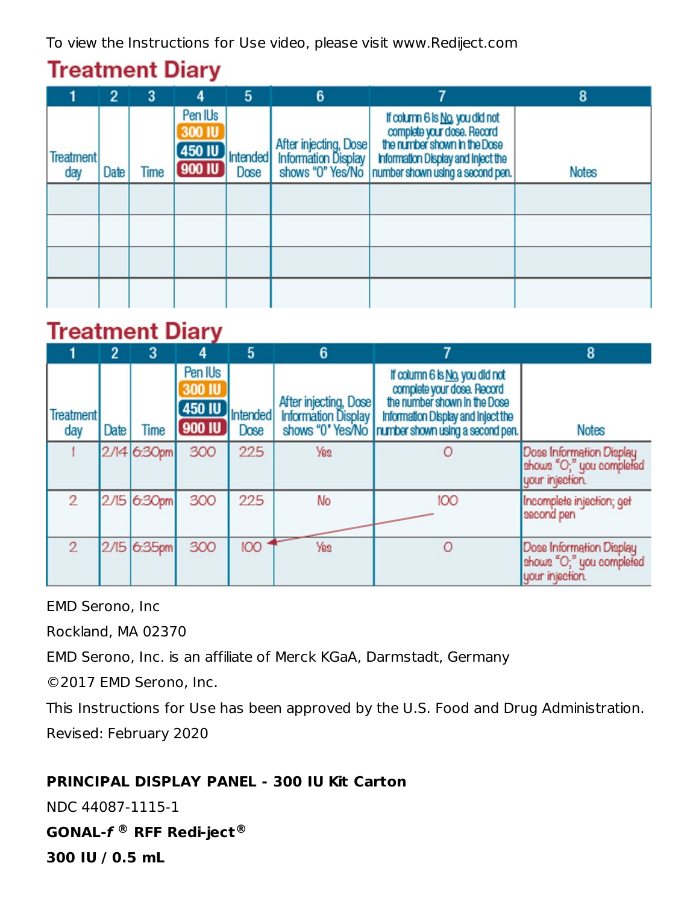To view the Instructions for Use video, please visit www.Rediject.com

# **Treatment Diary**

|                         | $\overline{2}$ | 3           | 4                                                        | 5                       | 6 |                                                                                                                                                                                                                                                                   | 8            |
|-------------------------|----------------|-------------|----------------------------------------------------------|-------------------------|---|-------------------------------------------------------------------------------------------------------------------------------------------------------------------------------------------------------------------------------------------------------------------|--------------|
| <b>Treatment</b><br>day | Date           | <b>Time</b> | Pen IU <sub>s</sub><br><b>300 IU</b><br>450 IU<br>900 IU | <b>Intended</b><br>Dose |   | If column 6 is No, you did not<br>complete your dose. Record<br>the number shown in the Dose<br>After injecting, Dose the number shown in the Dose<br>Information Display information Display and Inject the<br>shows "0" Yes/No number shown using a second pen. | <b>Notes</b> |
|                         |                |             |                                                          |                         |   |                                                                                                                                                                                                                                                                   |              |
|                         |                |             |                                                          |                         |   |                                                                                                                                                                                                                                                                   |              |
|                         |                |             |                                                          |                         |   |                                                                                                                                                                                                                                                                   |              |
|                         |                |             |                                                          |                         |   |                                                                                                                                                                                                                                                                   |              |

# **Treatment Diarv**

|                         | 2    | 3           |                                              | 5                | 6                     |                                                                                                                                                                                           | 8                                                                       |
|-------------------------|------|-------------|----------------------------------------------|------------------|-----------------------|-------------------------------------------------------------------------------------------------------------------------------------------------------------------------------------------|-------------------------------------------------------------------------|
| <b>Treatment</b><br>day | Date | <b>Time</b> | Pen IUs<br><b>300 IU</b><br>450 IU<br>900 IU | Intended<br>Dose | After injecting, Dose | If column 6 is No, you did not<br>complete your dose, Record<br>the number shown in the Dose<br>Information Display and Inject the<br>shows "0" Yes/No   number shown using a second pen. | <b>Notes</b>                                                            |
|                         |      | 2/14 6:30pm | 300                                          | 225              | <b>Yes</b>            |                                                                                                                                                                                           | Dose Information Display<br>shows "O;" you completed<br>your injection. |
| $\overline{2}$          | 2/15 | 6:30pm      | 300                                          | 225              | No                    | 100                                                                                                                                                                                       | Incomplete injection; get<br>second pen                                 |
| $\overline{2}$          | 2/15 | 6:35pm      | 300                                          | <b>OOI</b>       | <b>Yes</b>            |                                                                                                                                                                                           | Dose Information Display<br>shows "O;" you completed<br>your injection. |

EMD Serono, Inc

Rockland, MA 02370

EMD Serono, Inc. is an affiliate of Merck KGaA, Darmstadt, Germany

©2017 EMD Serono, Inc.

This Instructions for Use has been approved by the U.S. Food and Drug Administration. Revised: February 2020

### **PRINCIPAL DISPLAY PANEL - 300 IU Kit Carton**

NDC 44087-1115-1

**GONAL-f RFF Redi-ject ® ®**

**300 IU / 0.5 mL**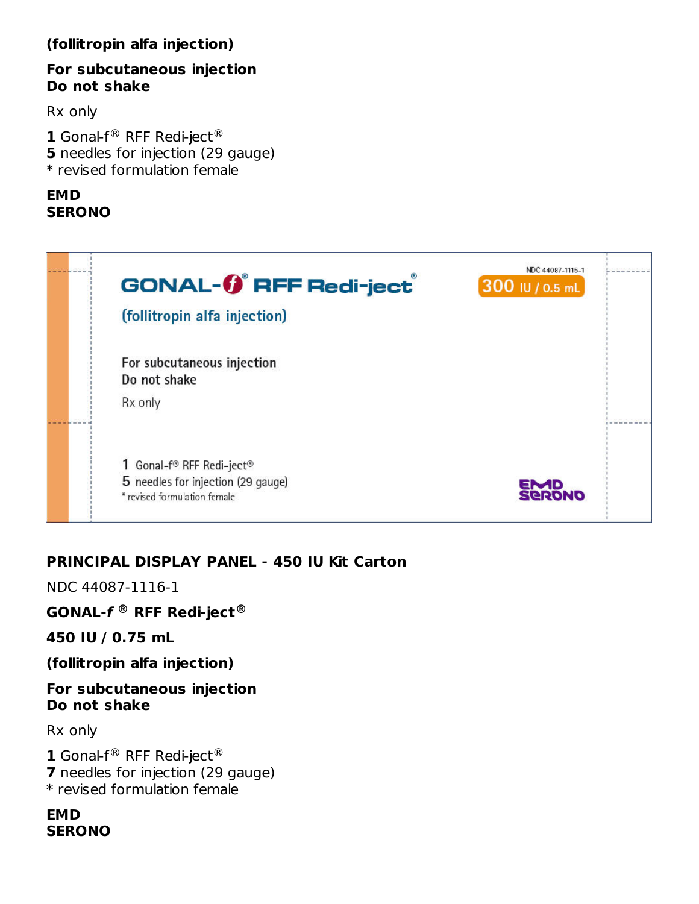#### **(follitropin alfa injection)**

#### **For subcutaneous injection Do not shake**

Rx only

**1** Gonal-f® RFF Redi-ject® **5** needles for injection (29 gauge) \* revised formulation female

### **EMD SERONO**



#### **PRINCIPAL DISPLAY PANEL - 450 IU Kit Carton**

NDC 44087-1116-1

**GONAL-f RFF Redi-ject ® ®**

**450 IU / 0.75 mL**

**(follitropin alfa injection)**

#### **For subcutaneous injection Do not shake**

Rx only

**1** Gonal- $f^@$  RFF Redi-ject<sup>®</sup> **7** needles for injection (29 gauge) \* revised formulation female

#### **EMD SERONO**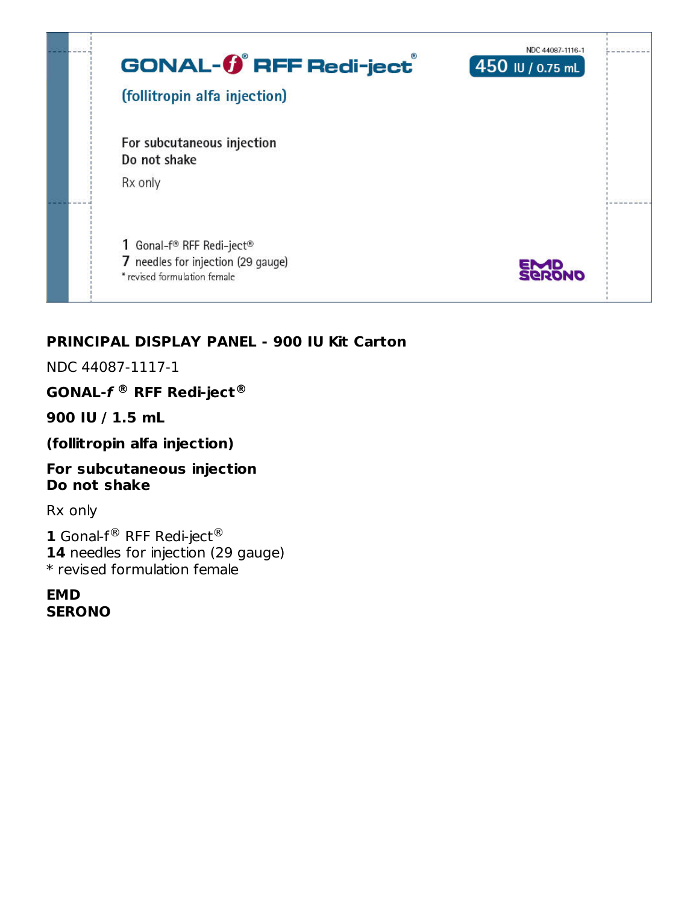

#### **PRINCIPAL DISPLAY PANEL - 900 IU Kit Carton**

NDC 44087-1117-1

**GONAL-f RFF Redi-ject ® ®**

**900 IU / 1.5 mL**

**(follitropin alfa injection)**

#### **For subcutaneous injection Do not shake**

Rx only

**1** Gonal-f $^{\circledR}$  RFF Redi-ject $^{\circledR}$ 14 needles for injection (29 gauge) \* revised formulation female

**EMD SERONO**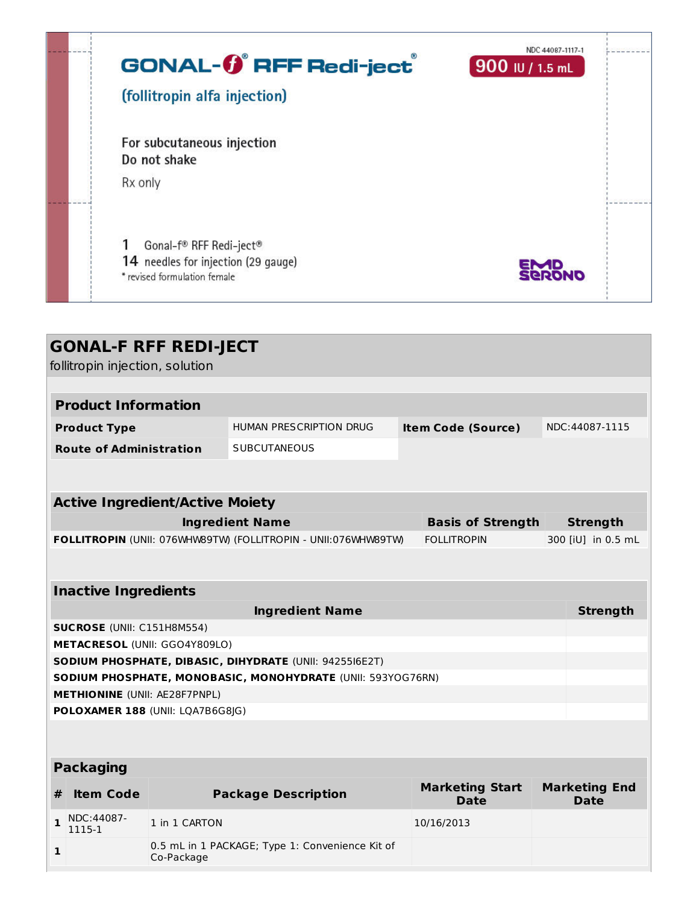| <b>GONAL-0<sup>®</sup> RFF Redi-ject</b><br>(follitropin alfa injection)                       | NDC 44087-1117-1<br>$900$ IU / 1.5 mL |  |
|------------------------------------------------------------------------------------------------|---------------------------------------|--|
| For subcutaneous injection<br>Do not shake<br>Rx only                                          |                                       |  |
| Gonal-f® RFF Redi-ject®<br>14 needles for injection (29 gauge)<br>* revised formulation female | EMD<br><b>SERONO</b>                  |  |

| <b>GONAL-F RFF REDI-JECT</b><br>follitropin injection, solution                                                        |                                                                          |                                                 |                           |                                       |                    |                                     |  |  |
|------------------------------------------------------------------------------------------------------------------------|--------------------------------------------------------------------------|-------------------------------------------------|---------------------------|---------------------------------------|--------------------|-------------------------------------|--|--|
|                                                                                                                        |                                                                          |                                                 |                           |                                       |                    |                                     |  |  |
| <b>Product Information</b>                                                                                             |                                                                          |                                                 |                           |                                       |                    |                                     |  |  |
| <b>Product Type</b>                                                                                                    |                                                                          | HUMAN PRESCRIPTION DRUG                         | <b>Item Code (Source)</b> |                                       |                    | NDC:44087-1115                      |  |  |
| <b>Route of Administration</b>                                                                                         |                                                                          | <b>SUBCUTANEOUS</b>                             |                           |                                       |                    |                                     |  |  |
|                                                                                                                        |                                                                          |                                                 |                           |                                       |                    |                                     |  |  |
| <b>Active Ingredient/Active Moiety</b>                                                                                 |                                                                          |                                                 |                           |                                       |                    |                                     |  |  |
| <b>Ingredient Name</b>                                                                                                 |                                                                          |                                                 | <b>Basis of Strength</b>  | <b>Strength</b>                       |                    |                                     |  |  |
| FOLLITROPIN (UNII: 076WHW89TW) (FOLLITROPIN - UNII:076WHW89TW)                                                         |                                                                          |                                                 |                           | <b>FOLLITROPIN</b>                    | 300 [iU] in 0.5 mL |                                     |  |  |
|                                                                                                                        |                                                                          |                                                 |                           |                                       |                    |                                     |  |  |
| <b>Inactive Ingredients</b>                                                                                            |                                                                          |                                                 |                           |                                       |                    |                                     |  |  |
| <b>Ingredient Name</b>                                                                                                 |                                                                          |                                                 |                           |                                       |                    | <b>Strength</b>                     |  |  |
| <b>SUCROSE</b> (UNII: C151H8M554)                                                                                      |                                                                          |                                                 |                           |                                       |                    |                                     |  |  |
|                                                                                                                        | METACRESOL (UNII: GGO4Y809LO)                                            |                                                 |                           |                                       |                    |                                     |  |  |
| SODIUM PHOSPHATE, DIBASIC, DIHYDRATE (UNII: 9425516E2T)<br>SODIUM PHOSPHATE, MONOBASIC, MONOHYDRATE (UNII: 593YOG76RN) |                                                                          |                                                 |                           |                                       |                    |                                     |  |  |
|                                                                                                                        |                                                                          |                                                 |                           |                                       |                    |                                     |  |  |
|                                                                                                                        | <b>METHIONINE</b> (UNII: AE28F7PNPL)<br>POLOXAMER 188 (UNII: LQA7B6G8JG) |                                                 |                           |                                       |                    |                                     |  |  |
|                                                                                                                        |                                                                          |                                                 |                           |                                       |                    |                                     |  |  |
| <b>Packaging</b>                                                                                                       |                                                                          |                                                 |                           |                                       |                    |                                     |  |  |
| <b>Item Code</b><br>#                                                                                                  |                                                                          | <b>Package Description</b>                      |                           | <b>Marketing Start</b><br><b>Date</b> |                    | <b>Marketing End</b><br><b>Date</b> |  |  |
| NDC:44087-<br>$\mathbf{1}$<br>1115-1                                                                                   | 1 in 1 CARTON                                                            |                                                 |                           | 10/16/2013                            |                    |                                     |  |  |
| 1                                                                                                                      | Co-Package                                                               | 0.5 mL in 1 PACKAGE; Type 1: Convenience Kit of |                           |                                       |                    |                                     |  |  |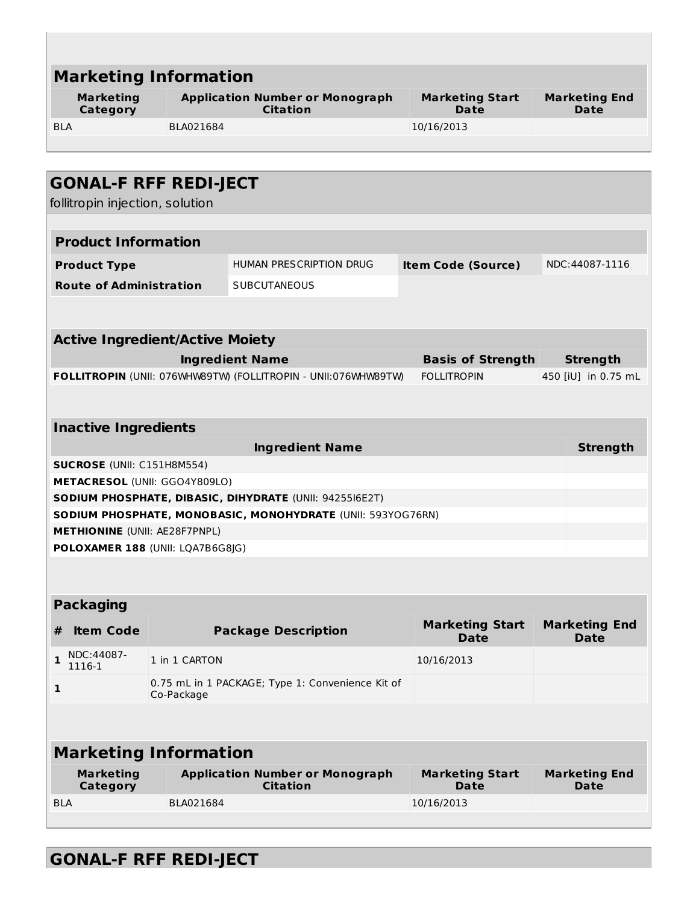| <b>Marketing Information</b>                                                                                           |                                                                |                                       |                                     |  |  |  |  |  |
|------------------------------------------------------------------------------------------------------------------------|----------------------------------------------------------------|---------------------------------------|-------------------------------------|--|--|--|--|--|
| <b>Marketing</b><br>Category                                                                                           | <b>Application Number or Monograph</b><br><b>Citation</b>      | <b>Marketing Start</b><br><b>Date</b> | <b>Marketing End</b><br>Date        |  |  |  |  |  |
| BLA021684<br><b>BLA</b>                                                                                                |                                                                | 10/16/2013                            |                                     |  |  |  |  |  |
|                                                                                                                        |                                                                |                                       |                                     |  |  |  |  |  |
|                                                                                                                        |                                                                |                                       |                                     |  |  |  |  |  |
| <b>GONAL-F RFF REDI-JECT</b><br>follitropin injection, solution                                                        |                                                                |                                       |                                     |  |  |  |  |  |
|                                                                                                                        |                                                                |                                       |                                     |  |  |  |  |  |
| <b>Product Information</b>                                                                                             |                                                                |                                       |                                     |  |  |  |  |  |
| <b>Product Type</b>                                                                                                    | <b>HUMAN PRESCRIPTION DRUG</b>                                 | <b>Item Code (Source)</b>             | NDC:44087-1116                      |  |  |  |  |  |
| <b>Route of Administration</b>                                                                                         | <b>SUBCUTANEOUS</b>                                            |                                       |                                     |  |  |  |  |  |
|                                                                                                                        |                                                                |                                       |                                     |  |  |  |  |  |
|                                                                                                                        |                                                                |                                       |                                     |  |  |  |  |  |
| <b>Active Ingredient/Active Moiety</b>                                                                                 |                                                                |                                       |                                     |  |  |  |  |  |
|                                                                                                                        | <b>Ingredient Name</b>                                         | <b>Basis of Strength</b>              | <b>Strength</b>                     |  |  |  |  |  |
|                                                                                                                        | FOLLITROPIN (UNII: 076WHW89TW) (FOLLITROPIN - UNII:076WHW89TW) | <b>FOLLITROPIN</b>                    | 450 [iU] in 0.75 mL                 |  |  |  |  |  |
|                                                                                                                        |                                                                |                                       |                                     |  |  |  |  |  |
| <b>Inactive Ingredients</b>                                                                                            |                                                                |                                       |                                     |  |  |  |  |  |
|                                                                                                                        | <b>Ingredient Name</b>                                         |                                       | <b>Strength</b>                     |  |  |  |  |  |
| <b>SUCROSE</b> (UNII: C151H8M554)                                                                                      |                                                                |                                       |                                     |  |  |  |  |  |
| METACRESOL (UNII: GGO4Y809LO)                                                                                          |                                                                |                                       |                                     |  |  |  |  |  |
| SODIUM PHOSPHATE, DIBASIC, DIHYDRATE (UNII: 9425516E2T)<br>SODIUM PHOSPHATE, MONOBASIC, MONOHYDRATE (UNII: 593YOG76RN) |                                                                |                                       |                                     |  |  |  |  |  |
| <b>METHIONINE (UNII: AE28F7PNPL)</b>                                                                                   |                                                                |                                       |                                     |  |  |  |  |  |
| POLOXAMER 188 (UNII: LQA7B6G8JG)                                                                                       |                                                                |                                       |                                     |  |  |  |  |  |
|                                                                                                                        |                                                                |                                       |                                     |  |  |  |  |  |
| <b>Packaging</b>                                                                                                       |                                                                |                                       |                                     |  |  |  |  |  |
|                                                                                                                        |                                                                | <b>Marketing Start</b>                | <b>Marketing End</b>                |  |  |  |  |  |
| <b>Item Code</b><br>#                                                                                                  | <b>Package Description</b>                                     | <b>Date</b>                           | <b>Date</b>                         |  |  |  |  |  |
| NDC:44087-<br>1 in 1 CARTON<br>1<br>1116-1                                                                             |                                                                | 10/16/2013                            |                                     |  |  |  |  |  |
| 1<br>Co-Package                                                                                                        | 0.75 mL in 1 PACKAGE; Type 1: Convenience Kit of               |                                       |                                     |  |  |  |  |  |
|                                                                                                                        |                                                                |                                       |                                     |  |  |  |  |  |
| <b>Marketing Information</b>                                                                                           |                                                                |                                       |                                     |  |  |  |  |  |
| <b>Marketing</b><br>Category                                                                                           | <b>Application Number or Monograph</b><br><b>Citation</b>      | <b>Marketing Start</b><br><b>Date</b> | <b>Marketing End</b><br><b>Date</b> |  |  |  |  |  |
| <b>BLA</b><br>BLA021684                                                                                                |                                                                |                                       |                                     |  |  |  |  |  |
|                                                                                                                        |                                                                | 10/16/2013                            |                                     |  |  |  |  |  |

# **GONAL-F RFF REDI-JECT**

U.